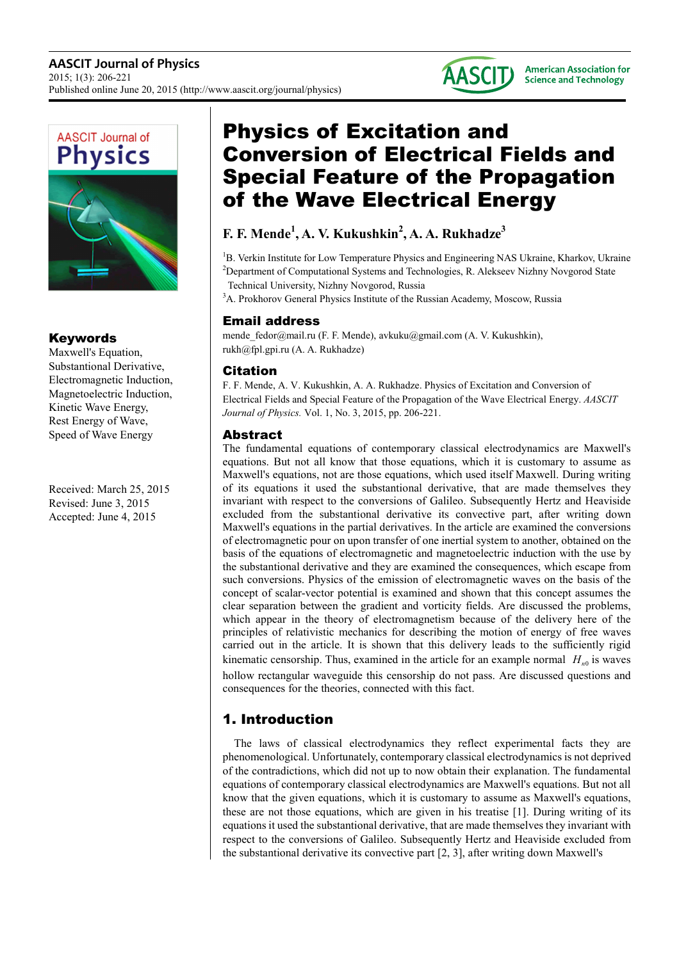



## Keywords

Maxwell's Equation, Substantional Derivative, Electromagnetic Induction, Magnetoelectric Induction, Kinetic Wave Energy, Rest Energy of Wave, Speed of Wave Energy

Received: March 25, 2015 Revised: June 3, 2015 Accepted: June 4, 2015

# Physics of Excitation and Conversion of Electrical Fields and Special Feature of the Propagation of the Wave Electrical Energy

# **F. F. Mende<sup>1</sup> , A. V. Kukushkin<sup>2</sup> , A. A. Rukhadze<sup>3</sup>**

<sup>1</sup>B. Verkin Institute for Low Temperature Physics and Engineering NAS Ukraine, Kharkov, Ukraine <sup>2</sup>Department of Computational Systems and Technologies, R. Alekseev Nizhny Novgorod State

Technical University, Nizhny Novgorod, Russia <sup>3</sup>A. Prokhorov General Physics Institute of the Russian Academy, Moscow, Russia

### Email address

mende\_fedor@mail.ru (F. F. Mende), avkuku@gmail.com (A. V. Kukushkin), rukh@fpl.gpi.ru (A. A. Rukhadze)

### Citation

F. F. Mende, A. V. Kukushkin, A. A. Rukhadze. Physics of Excitation and Conversion of Electrical Fields and Special Feature of the Propagation of the Wave Electrical Energy. *AASCIT Journal of Physics.* Vol. 1, No. 3, 2015, pp. 206-221.

### Abstract

The fundamental equations of contemporary classical electrodynamics are Maxwell's equations. But not all know that those equations, which it is customary to assume as Maxwell's equations, not are those equations, which used itself Maxwell. During writing of its equations it used the substantional derivative, that are made themselves they invariant with respect to the conversions of Galileo. Subsequently Hertz and Heaviside excluded from the substantional derivative its convective part, after writing down Maxwell's equations in the partial derivatives. In the article are examined the conversions of electromagnetic pour on upon transfer of one inertial system to another, obtained on the basis of the equations of electromagnetic and magnetoelectric induction with the use by the substantional derivative and they are examined the consequences, which escape from such conversions. Physics of the emission of electromagnetic waves on the basis of the concept of scalar-vector potential is examined and shown that this concept assumes the clear separation between the gradient and vorticity fields. Are discussed the problems, which appear in the theory of electromagnetism because of the delivery here of the principles of relativistic mechanics for describing the motion of energy of free waves carried out in the article. It is shown that this delivery leads to the sufficiently rigid kinematic censorship. Thus, examined in the article for an example normal  $H_{n0}$  is waves hollow rectangular waveguide this censorship do not pass. Are discussed questions and consequences for the theories, connected with this fact.

# 1. Introduction

The laws of classical electrodynamics they reflect experimental facts they are phenomenological. Unfortunately, contemporary classical electrodynamics is not deprived of the contradictions, which did not up to now obtain their explanation. The fundamental equations of contemporary classical electrodynamics are Maxwell's equations. But not all know that the given equations, which it is customary to assume as Maxwell's equations, these are not those equations, which are given in his treatise [1]. During writing of its equations it used the substantional derivative, that are made themselves they invariant with respect to the conversions of Galileo. Subsequently Hertz and Heaviside excluded from the substantional derivative its convective part [2, 3], after writing down Maxwell's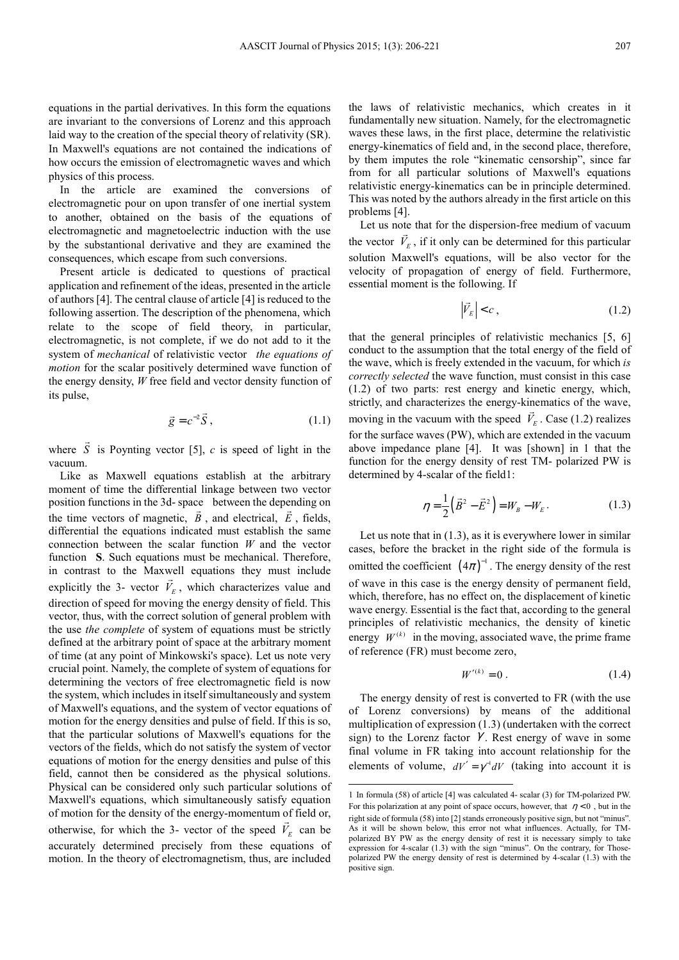equations in the partial derivatives. In this form the equations are invariant to the conversions of Lorenz and this approach laid way to the creation of the special theory of relativity (SR). In Maxwell's equations are not contained the indications of how occurs the emission of electromagnetic waves and which physics of this process.

In the article are examined the conversions of electromagnetic pour on upon transfer of one inertial system to another, obtained on the basis of the equations of electromagnetic and magnetoelectric induction with the use by the substantional derivative and they are examined the consequences, which escape from such conversions.

Present article is dedicated to questions of practical application and refinement of the ideas, presented in the article of authors [4]. The central clause of article [4] is reduced to the following assertion. The description of the phenomena, which relate to the scope of field theory, in particular, electromagnetic, is not complete, if we do not add to it the system of *mechanical* of relativistic vector *the equations of motion* for the scalar positively determined wave function of the energy density, *W* free field and vector density function of its pulse,

$$
\vec{g} = c^{-2}\vec{S},\qquad(1.1)
$$

where *S*  $\overline{a}$  is Poynting vector [5], *c* is speed of light in the vacuum.

Like as Maxwell equations establish at the arbitrary moment of time the differential linkage between two vector position functions in the 3d- space between the depending on the time vectors of magnetic,  $B$ , and electrical,  $E$ , fields, differential the equations indicated must establish the same connection between the scalar function *W* and the vector function **S**. Such equations must be mechanical. Therefore, in contrast to the Maxwell equations they must include explicitly the 3- vector  $V_E$ , which characterizes value and direction of speed for moving the energy density of field. This vector, thus, with the correct solution of general problem with the use *the complete* of system of equations must be strictly defined at the arbitrary point of space at the arbitrary moment of time (at any point of Minkowski's space). Let us note very crucial point. Namely, the complete of system of equations for determining the vectors of free electromagnetic field is now the system, which includes in itself simultaneously and system of Maxwell's equations, and the system of vector equations of motion for the energy densities and pulse of field. If this is so, that the particular solutions of Maxwell's equations for the vectors of the fields, which do not satisfy the system of vector equations of motion for the energy densities and pulse of this field, cannot then be considered as the physical solutions. Physical can be considered only such particular solutions of Maxwell's equations, which simultaneously satisfy equation of motion for the density of the energy-momentum of field or, otherwise, for which the 3- vector of the speed  $V_E$  can be accurately determined precisely from these equations of motion. In the theory of electromagnetism, thus, are included

the laws of relativistic mechanics, which creates in it fundamentally new situation. Namely, for the electromagnetic waves these laws, in the first place, determine the relativistic energy-kinematics of field and, in the second place, therefore, by them imputes the role "kinematic censorship", since far from for all particular solutions of Maxwell's equations relativistic energy-kinematics can be in principle determined. This was noted by the authors already in the first article on this problems [4].

Let us note that for the dispersion-free medium of vacuum the vector  $V_E$ , if it only can be determined for this particular solution Maxwell's equations, will be also vector for the velocity of propagation of energy of field. Furthermore, essential moment is the following. If

$$
\left|\vec{V}_E\right| < c \,,\tag{1.2}
$$

that the general principles of relativistic mechanics [5, 6] conduct to the assumption that the total energy of the field of the wave, which is freely extended in the vacuum, for which *is correctly selected* the wave function, must consist in this case (1.2) of two parts: rest energy and kinetic energy, which, strictly, and characterizes the energy-kinematics of the wave, moving in the vacuum with the speed  $V_E$ . Case (1.2) realizes for the surface waves (PW), which are extended in the vacuum above impedance plane [4]. It was [shown] in 1 that the function for the energy density of rest TM- polarized PW is determined by 4-scalar of the field1:

$$
\eta = \frac{1}{2} (\vec{B}^2 - \vec{E}^2) = W_B - W_E.
$$
 (1.3)

Let us note that in  $(1.3)$ , as it is everywhere lower in similar cases, before the bracket in the right side of the formula is omitted the coefficient  $(4\pi)^{-1}$ . The energy density of the rest of wave in this case is the energy density of permanent field, which, therefore, has no effect on, the displacement of kinetic wave energy. Essential is the fact that, according to the general principles of relativistic mechanics, the density of kinetic energy  $W^{(k)}$  in the moving, associated wave, the prime frame of reference (FR) must become zero,

$$
W^{\prime(k)} = 0 \tag{1.4}
$$

The energy density of rest is converted to FR (with the use of Lorenz conversions) by means of the additional multiplication of expression (1.3) (undertaken with the correct sign) to the Lorenz factor  $\gamma$ . Rest energy of wave in some final volume in FR taking into account relationship for the elements of volume,  $dV' = \gamma^{-1} dV$  (taking into account it is

 $\overline{a}$ 

<sup>1</sup> In formula (58) of article [4] was calculated 4- scalar (3) for TM-polarized PW. For this polarization at any point of space occurs, however, that  $\eta < 0$ , but in the right side of formula (58) into [2] stands erroneously positive sign, but not "minus". As it will be shown below, this error not what influences. Actually, for TMpolarized BY PW as the energy density of rest it is necessary simply to take expression for 4-scalar (1.3) with the sign "minus". On the contrary, for Thosepolarized PW the energy density of rest is determined by 4-scalar (1.3) with the positive sign.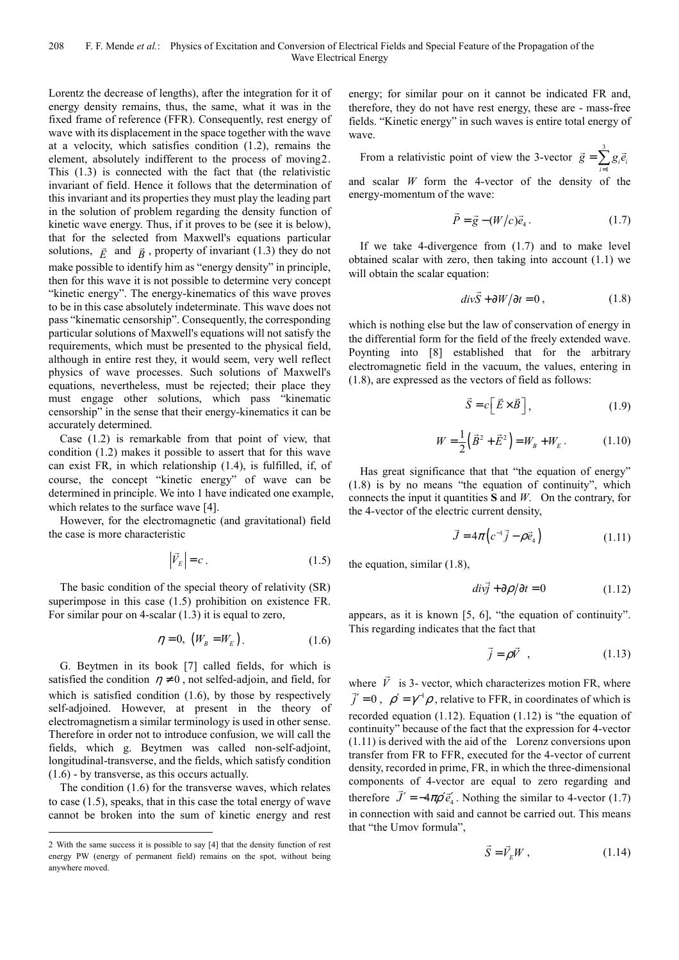Lorentz the decrease of lengths), after the integration for it of energy density remains, thus, the same, what it was in the fixed frame of reference (FFR). Consequently, rest energy of wave with its displacement in the space together with the wave at a velocity, which satisfies condition (1.2), remains the element, absolutely indifferent to the process of moving2. This (1.3) is connected with the fact that (the relativistic invariant of field. Hence it follows that the determination of this invariant and its properties they must play the leading part in the solution of problem regarding the density function of kinetic wave energy. Thus, if it proves to be (see it is below), that for the selected from Maxwell's equations particular solutions,  $\vec{E}$  and  $\vec{B}$ , property of invariant (1.3) they do not make possible to identify him as "energy density" in principle, then for this wave it is not possible to determine very concept "kinetic energy". The energy-kinematics of this wave proves to be in this case absolutely indeterminate. This wave does not pass "kinematic censorship". Consequently, the corresponding particular solutions of Maxwell's equations will not satisfy the requirements, which must be presented to the physical field, although in entire rest they, it would seem, very well reflect physics of wave processes. Such solutions of Maxwell's equations, nevertheless, must be rejected; their place they must engage other solutions, which pass "kinematic censorship" in the sense that their energy-kinematics it can be accurately determined.

Case (1.2) is remarkable from that point of view, that condition (1.2) makes it possible to assert that for this wave can exist FR, in which relationship (1.4), is fulfilled, if, of course, the concept "kinetic energy" of wave can be determined in principle. We into 1 have indicated one example, which relates to the surface wave [4].

However, for the electromagnetic (and gravitational) field the case is more characteristic

$$
\left|\vec{V}_{E}\right| = c\tag{1.5}
$$

The basic condition of the special theory of relativity (SR) superimpose in this case  $(1.5)$  prohibition on existence FR. For similar pour on 4-scalar (1.3) it is equal to zero,

$$
\eta = 0, \quad (W_B = W_E). \tag{1.6}
$$

G. Beytmen in its book [7] called fields, for which is satisfied the condition  $\eta \neq 0$ , not selfed-adjoin, and field, for which is satisfied condition  $(1.6)$ , by those by respectively self-adjoined. However, at present in the theory of electromagnetism a similar terminology is used in other sense. Therefore in order not to introduce confusion, we will call the fields, which g. Beytmen was called non-self-adjoint, longitudinal-transverse, and the fields, which satisfy condition (1.6) - by transverse, as this occurs actually.

The condition (1.6) for the transverse waves, which relates to case (1.5), speaks, that in this case the total energy of wave cannot be broken into the sum of kinetic energy and rest

 $\overline{a}$ 

energy; for similar pour on it cannot be indicated FR and, therefore, they do not have rest energy, these are - mass-free fields. "Kinetic energy" in such waves is entire total energy of wave.

From a relativistic point of view the 3-vector 
$$
\vec{g} = \sum_{i=1}^{3} g_i \vec{e}_i
$$

and scalar *W* form the 4-vector of the density of the energy-momentum of the wave:

$$
\vec{P} = \vec{g} - (W/c)\vec{e}_4.
$$
 (1.7)

If we take 4-divergence from (1.7) and to make level obtained scalar with zero, then taking into account (1.1) we will obtain the scalar equation:

$$
div\vec{S} + \partial W/\partial t = 0, \qquad (1.8)
$$

which is nothing else but the law of conservation of energy in the differential form for the field of the freely extended wave. Poynting into [8] established that for the arbitrary electromagnetic field in the vacuum, the values, entering in (1.8), are expressed as the vectors of field as follows:

$$
\vec{S} = c \left[ \vec{E} \times \vec{B} \right],\tag{1.9}
$$

$$
W = \frac{1}{2} (\vec{B}^2 + \vec{E}^2) = W_B + W_E.
$$
 (1.10)

Has great significance that that "the equation of energy" (1.8) is by no means "the equation of continuity", which connects the input it quantities **S** and *W*. On the contrary, for the 4-vector of the electric current density,

$$
\vec{J} = 4\pi \left( c^{-1} \vec{j} - \rho \vec{e}_4 \right) \tag{1.11}
$$

the equation, similar (1.8),

$$
div\vec{j} + \partial \rho / \partial t = 0 \qquad (1.12)
$$

appears, as it is known [5, 6], "the equation of continuity". This regarding indicates that the fact that

$$
\vec{j} = \rho \vec{V} \quad , \tag{1.13}
$$

where *V*  $\overline{\phantom{a}}$ where  $V$  is 3- vector, which characterizes motion FR, where  $\vec{j}' = 0$ ,  $\rho' = \gamma^{-1} \rho$ , relative to FFR, in coordinates of which is recorded equation  $(1.12)$ . Equation  $(1.12)$  is "the equation of continuity" because of the fact that the expression for 4-vector (1.11) is derived with the aid of the Lorenz conversions upon transfer from FR to FFR, executed for the 4-vector of current density, recorded in prime, FR, in which the three-dimensional components of 4-vector are equal to zero regarding and therefore  $\dot{J}' = -4\pi \rho' \vec{e}'_4$ . Nothing the similar to 4-vector (1.7) in connection with said and cannot be carried out. This means that "the Umov formula",

$$
\vec{S} = \vec{V}_E W , \qquad (1.14)
$$

<sup>2</sup> With the same success it is possible to say [4] that the density function of rest energy PW (energy of permanent field) remains on the spot, without being anywhere moved.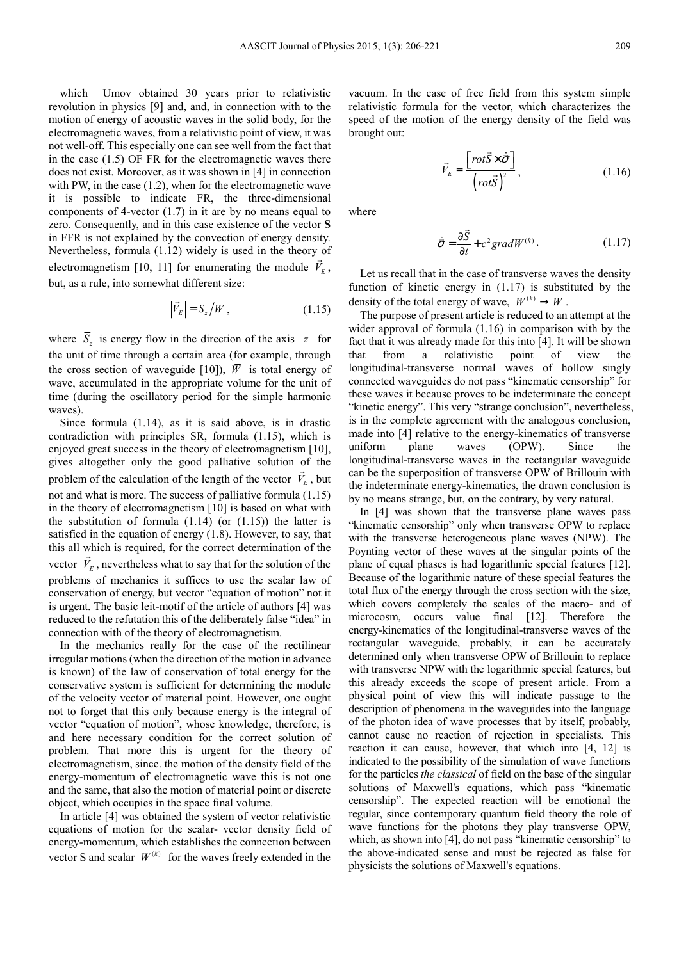which Umov obtained 30 years prior to relativistic revolution in physics [9] and, and, in connection with to the motion of energy of acoustic waves in the solid body, for the electromagnetic waves, from a relativistic point of view, it was not well-off. This especially one can see well from the fact that in the case (1.5) OF FR for the electromagnetic waves there does not exist. Moreover, as it was shown in [4] in connection with PW, in the case  $(1.2)$ , when for the electromagnetic wave it is possible to indicate FR, the three-dimensional components of 4-vector (1.7) in it are by no means equal to zero. Consequently, and in this case existence of the vector **S** in FFR is not explained by the convection of energy density. Nevertheless, formula (1.12) widely is used in the theory of electromagnetism [10, 11] for enumerating the module  $V_E$ , but, as a rule, into somewhat different size:

$$
\left|\vec{V}_{E}\right| = \overline{S}_{z} / \overline{W}, \qquad (1.15)
$$

where  $S_z$  is energy flow in the direction of the axis  $z$  for the unit of time through a certain area (for example, through the cross section of waveguide [10]),  $\overline{W}$  is total energy of wave, accumulated in the appropriate volume for the unit of time (during the oscillatory period for the simple harmonic waves).

Since formula (1.14), as it is said above, is in drastic contradiction with principles SR, formula (1.15), which is enjoyed great success in the theory of electromagnetism [10], gives altogether only the good palliative solution of the problem of the calculation of the length of the vector  $V_E$ , but not and what is more. The success of palliative formula (1.15) in the theory of electromagnetism [10] is based on what with the substitution of formula  $(1.14)$  (or  $(1.15)$ ) the latter is satisfied in the equation of energy (1.8). However, to say, that this all which is required, for the correct determination of the vector  $V_E$ , nevertheless what to say that for the solution of the problems of mechanics it suffices to use the scalar law of conservation of energy, but vector "equation of motion" not it is urgent. The basic leit-motif of the article of authors [4] was reduced to the refutation this of the deliberately false "idea" in connection with of the theory of electromagnetism.

In the mechanics really for the case of the rectilinear irregular motions (when the direction of the motion in advance is known) of the law of conservation of total energy for the conservative system is sufficient for determining the module of the velocity vector of material point. However, one ought not to forget that this only because energy is the integral of vector "equation of motion", whose knowledge, therefore, is and here necessary condition for the correct solution of problem. That more this is urgent for the theory of electromagnetism, since. the motion of the density field of the energy-momentum of electromagnetic wave this is not one and the same, that also the motion of material point or discrete object, which occupies in the space final volume.

In article [4] was obtained the system of vector relativistic equations of motion for the scalar- vector density field of energy-momentum, which establishes the connection between vector S and scalar  $W^{(k)}$  for the waves freely extended in the

vacuum. In the case of free field from this system simple relativistic formula for the vector, which characterizes the speed of the motion of the energy density of the field was brought out:

$$
\vec{V}_E = \frac{\left[rot\vec{S} \times \dot{\vec{\sigma}}\right]}{\left(rot\vec{S}\right)^2},\tag{1.16}
$$

where

$$
\dot{\vec{\sigma}} = \frac{\partial \vec{S}}{\partial t} + c^2 \text{grad} W^{(k)}.
$$
 (1.17)

Let us recall that in the case of transverse waves the density function of kinetic energy in (1.17) is substituted by the density of the total energy of wave,  $W^{(k)} \rightarrow W$ .

The purpose of present article is reduced to an attempt at the wider approval of formula (1.16) in comparison with by the fact that it was already made for this into [4]. It will be shown that from a relativistic point of view the longitudinal-transverse normal waves of hollow singly connected waveguides do not pass "kinematic censorship" for these waves it because proves to be indeterminate the concept "kinetic energy". This very "strange conclusion", nevertheless, is in the complete agreement with the analogous conclusion, made into [4] relative to the energy-kinematics of transverse uniform plane waves (OPW). Since the longitudinal-transverse waves in the rectangular waveguide can be the superposition of transverse OPW of Brillouin with the indeterminate energy-kinematics, the drawn conclusion is by no means strange, but, on the contrary, by very natural.

In [4] was shown that the transverse plane waves pass "kinematic censorship" only when transverse OPW to replace with the transverse heterogeneous plane waves (NPW). The Poynting vector of these waves at the singular points of the plane of equal phases is had logarithmic special features [12]. Because of the logarithmic nature of these special features the total flux of the energy through the cross section with the size, which covers completely the scales of the macro- and of microcosm, occurs value final [12]. Therefore the energy-kinematics of the longitudinal-transverse waves of the rectangular waveguide, probably, it can be accurately determined only when transverse OPW of Brillouin to replace with transverse NPW with the logarithmic special features, but this already exceeds the scope of present article. From a physical point of view this will indicate passage to the description of phenomena in the waveguides into the language of the photon idea of wave processes that by itself, probably, cannot cause no reaction of rejection in specialists. This reaction it can cause, however, that which into [4, 12] is indicated to the possibility of the simulation of wave functions for the particles *the classical* of field on the base of the singular solutions of Maxwell's equations, which pass "kinematic censorship". The expected reaction will be emotional the regular, since contemporary quantum field theory the role of wave functions for the photons they play transverse OPW, which, as shown into [4], do not pass "kinematic censorship" to the above-indicated sense and must be rejected as false for physicists the solutions of Maxwell's equations.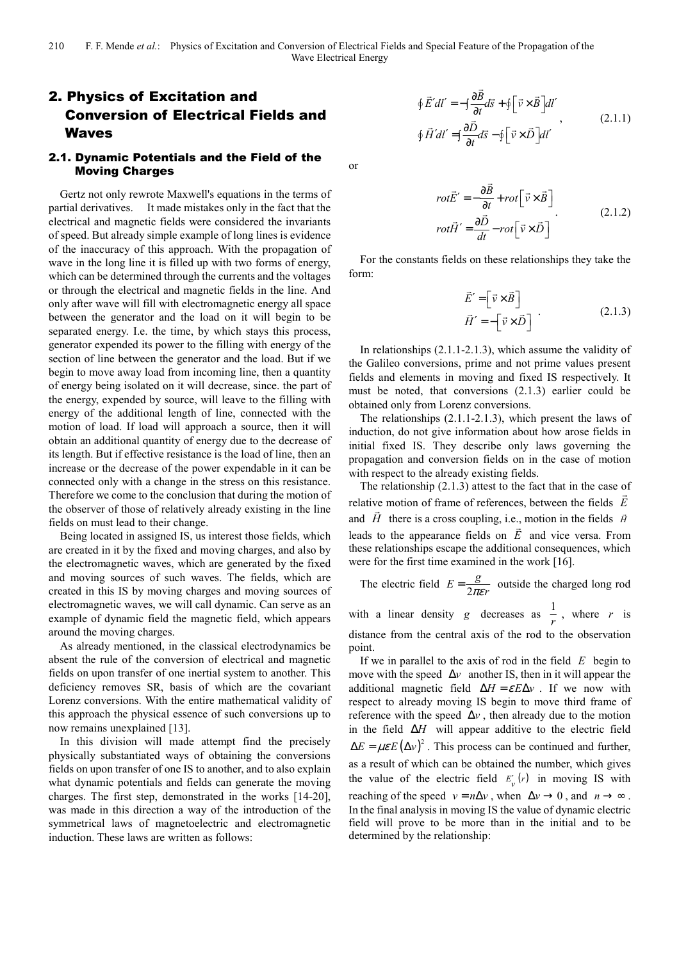# 2. Physics of Excitation and Conversion of Electrical Fields and Waves

#### 2.1. Dynamic Potentials and the Field of the Moving Charges

Gertz not only rewrote Maxwell's equations in the terms of partial derivatives. It made mistakes only in the fact that the electrical and magnetic fields were considered the invariants of speed. But already simple example of long lines is evidence of the inaccuracy of this approach. With the propagation of wave in the long line it is filled up with two forms of energy, which can be determined through the currents and the voltages or through the electrical and magnetic fields in the line. And only after wave will fill with electromagnetic energy all space between the generator and the load on it will begin to be separated energy. I.e. the time, by which stays this process, generator expended its power to the filling with energy of the section of line between the generator and the load. But if we begin to move away load from incoming line, then a quantity of energy being isolated on it will decrease, since. the part of the energy, expended by source, will leave to the filling with energy of the additional length of line, connected with the motion of load. If load will approach a source, then it will obtain an additional quantity of energy due to the decrease of its length. But if effective resistance is the load of line, then an increase or the decrease of the power expendable in it can be connected only with a change in the stress on this resistance. Therefore we come to the conclusion that during the motion of the observer of those of relatively already existing in the line fields on must lead to their change.

Being located in assigned IS, us interest those fields, which are created in it by the fixed and moving charges, and also by the electromagnetic waves, which are generated by the fixed and moving sources of such waves. The fields, which are created in this IS by moving charges and moving sources of electromagnetic waves, we will call dynamic. Can serve as an example of dynamic field the magnetic field, which appears around the moving charges.

As already mentioned, in the classical electrodynamics be absent the rule of the conversion of electrical and magnetic fields on upon transfer of one inertial system to another. This deficiency removes SR, basis of which are the covariant Lorenz conversions. With the entire mathematical validity of this approach the physical essence of such conversions up to now remains unexplained [13].

In this division will made attempt find the precisely physically substantiated ways of obtaining the conversions fields on upon transfer of one IS to another, and to also explain what dynamic potentials and fields can generate the moving charges. The first step, demonstrated in the works [14-20], was made in this direction a way of the introduction of the symmetrical laws of magnetoelectric and electromagnetic induction. These laws are written as follows:

$$
\oint \vec{E}' dl' = -\int \frac{\partial \vec{B}}{\partial t} d\vec{s} + \oint \left[ \vec{v} \times \vec{B} \right] dl'
$$
\n
$$
\oint \vec{H}' dl' = \int \frac{\partial \vec{D}}{\partial t} d\vec{s} - \oint \left[ \vec{v} \times \vec{D} \right] dl'
$$
\n(2.1.1)

or

$$
rot\vec{E}' = -\frac{\partial \vec{B}}{\partial t} + rot \left[ \vec{v} \times \vec{B} \right]
$$
  

$$
rot\vec{H}' = \frac{\partial \vec{D}}{\partial t} - rot \left[ \vec{v} \times \vec{D} \right]
$$
 (2.1.2)

For the constants fields on these relationships they take the form:

$$
\vec{E}' = \begin{bmatrix} \vec{v} \times \vec{B} \end{bmatrix}
$$
  
\n
$$
\vec{H}' = -\begin{bmatrix} \vec{v} \times \vec{D} \end{bmatrix}
$$
 (2.1.3)

In relationships (2.1.1-2.1.3), which assume the validity of the Galileo conversions, prime and not prime values present fields and elements in moving and fixed IS respectively. It must be noted, that conversions (2.1.3) earlier could be obtained only from Lorenz conversions.

The relationships (2.1.1-2.1.3), which present the laws of induction, do not give information about how arose fields in initial fixed IS. They describe only laws governing the propagation and conversion fields on in the case of motion with respect to the already existing fields.

The relationship  $(2.1.3)$  attest to the fact that in the case of relative motion of frame of references, between the fields *E* and  $\vec{H}$  there is a cross coupling, i.e., motion in the fields  $\vec{H}$ leads to the appearance fields on *E* and vice versa. From  $\ddot{ }$ these relationships escape the additional consequences, which were for the first time examined in the work [16].

The electric field  $E = \frac{g}{2\pi\epsilon r}$  outside the charged long rod

with a linear density *g* decreases as  $\frac{1}{r}$ , where *r* is distance from the central axis of the rod to the observation point.

If we in parallel to the axis of rod in the field *E* begin to move with the speed  $\Delta v$  another IS, then in it will appear the additional magnetic field  $\Delta H = \varepsilon E \Delta v$ . If we now with respect to already moving IS begin to move third frame of reference with the speed  $\Delta v$ , then already due to the motion in the field ∆*H* will appear additive to the electric field  $\Delta E = \mu \varepsilon E (\Delta v)^2$ . This process can be continued and further, as a result of which can be obtained the number, which gives the value of the electric field  $E'_v(r)$  in moving IS with reaching of the speed  $v = n\Delta v$ , when  $\Delta v \rightarrow 0$ , and  $n \rightarrow \infty$ . In the final analysis in moving IS the value of dynamic electric field will prove to be more than in the initial and to be determined by the relationship: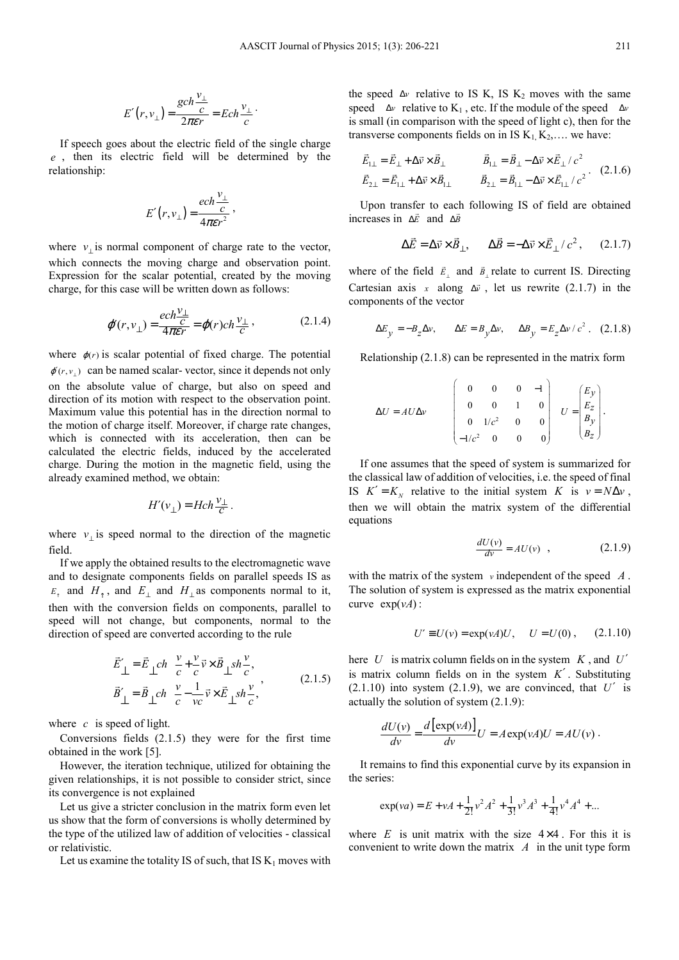$$
E'(r, v_{\perp}) = \frac{\gcd \frac{v_{\perp}}{c}}{2\pi\epsilon r} = Ech \frac{v_{\perp}}{c}.
$$

If speech goes about the electric field of the single charge *e* , then its electric field will be determined by the relationship:

$$
E'(r, v_{\perp}) = \frac{ech \frac{v_{\perp}}{c}}{4\pi \varepsilon r^2},
$$

where  $v_{\perp}$  is normal component of charge rate to the vector, which connects the moving charge and observation point. Expression for the scalar potential, created by the moving charge, for this case will be written down as follows:

$$
\varphi(r, v_{\perp}) = \frac{ech\frac{v_{\perp}}{c}}{4\pi\epsilon r} = \varphi(r)ch\frac{v_{\perp}}{c},
$$
\n(2.1.4)

where  $\varphi(r)$  is scalar potential of fixed charge. The potential  $\varphi(r, v_+)$  can be named scalar-vector, since it depends not only on the absolute value of charge, but also on speed and direction of its motion with respect to the observation point. Maximum value this potential has in the direction normal to the motion of charge itself. Moreover, if charge rate changes, which is connected with its acceleration, then can be calculated the electric fields, induced by the accelerated charge. During the motion in the magnetic field, using the already examined method, we obtain:

$$
H'(v_\perp) = Hch \frac{v_\perp}{c}.
$$

where  $v_{\perp}$  is speed normal to the direction of the magnetic field.

If we apply the obtained results to the electromagnetic wave and to designate components fields on parallel speeds IS as  $E_{\uparrow}$  and  $H_{\uparrow}$ , and  $E_{\perp}$  and  $H_{\perp}$  as components normal to it, then with the conversion fields on components, parallel to speed will not change, but components, normal to the direction of speed are converted according to the rule

$$
\vec{E}'_{\perp} = \vec{E}_{\perp} ch \frac{v}{c} + \frac{v}{c} \vec{v} \times \vec{B}_{\perp} sh \frac{v}{c},
$$
\n
$$
\vec{B}'_{\perp} = \vec{B}_{\perp} ch \frac{v}{c} - \frac{1}{vc} \vec{v} \times \vec{E}_{\perp} sh \frac{v}{c},
$$
\n(2.1.5)

where *c* is speed of light.

Conversions fields (2.1.5) they were for the first time obtained in the work [5].

However, the iteration technique, utilized for obtaining the given relationships, it is not possible to consider strict, since its convergence is not explained

Let us give a stricter conclusion in the matrix form even let us show that the form of conversions is wholly determined by the type of the utilized law of addition of velocities - classical or relativistic.

Let us examine the totality IS of such, that IS  $K_1$  moves with

the speed  $\Delta v$  relative to IS K, IS K<sub>2</sub> moves with the same speed  $\Delta v$  relative to K<sub>1</sub>, etc. If the module of the speed  $\Delta v$ is small (in comparison with the speed of light c), then for the transverse components fields on in IS  $K_1, K_2, \ldots$  we have:

$$
\vec{E}_{1\perp} = \vec{E}_{\perp} + \Delta \vec{v} \times \vec{B}_{\perp} \qquad \vec{B}_{1\perp} = \vec{B}_{\perp} - \Delta \vec{v} \times \vec{E}_{\perp} / c^2 \n\vec{E}_{2\perp} = \vec{E}_{1\perp} + \Delta \vec{v} \times \vec{B}_{1\perp} \qquad \vec{B}_{2\perp} = \vec{B}_{1\perp} - \Delta \vec{v} \times \vec{E}_{1\perp} / c^2.
$$
\n(2.1.6)

Upon transfer to each following IS of field are obtained increases in ∆*E* and ∆*B*

$$
\Delta \vec{E} = \Delta \vec{v} \times \vec{B}_{\perp}, \qquad \Delta \vec{B} = -\Delta \vec{v} \times \vec{E}_{\perp} / c^2, \qquad (2.1.7)
$$

where of the field  $\vec{E}_{\perp}$  and  $\vec{B}_{\perp}$  relate to current IS. Directing Cartesian axis *x* along  $\Delta \vec{v}$ , let us rewrite (2.1.7) in the components of the vector

$$
\Delta E_y = -B_z \Delta v, \qquad \Delta E = B_y \Delta v, \qquad \Delta B_y = E_z \Delta v / c^2 \ . \tag{2.1.8}
$$

Relationship (2.1.8) can be represented in the matrix form

$$
\Delta U = A U \Delta v \qquad \begin{pmatrix} 0 & 0 & 0 & -1 \\ 0 & 0 & 1 & 0 \\ 0 & 1/c^2 & 0 & 0 \\ -1/c^2 & 0 & 0 & 0 \end{pmatrix} \quad U = \begin{pmatrix} E_y \\ E_z \\ B_y \\ B_z \end{pmatrix}.
$$

If one assumes that the speed of system is summarized for the classical law of addition of velocities, i.e. the speed of final IS  $K' = K_N$  relative to the initial system *K* is  $v = N \Delta v$ , then we will obtain the matrix system of the differential equations

$$
\frac{dU(v)}{dv} = AU(v) \quad , \tag{2.1.9}
$$

with the matrix of the system *v* independent of the speed *A* . The solution of system is expressed as the matrix exponential curve  $exp(vA)$ :

$$
U' \equiv U(v) = \exp(vA)U
$$
,  $U = U(0)$ , (2.1.10)

here  $U$  is matrix column fields on in the system  $K$ , and  $U'$ is matrix column fields on in the system *K*′ . Substituting  $(2.1.10)$  into system  $(2.1.9)$ , we are convinced, that  $U'$  is actually the solution of system (2.1.9):

$$
\frac{dU(v)}{dv} = \frac{d\left[\exp(vA)\right]}{dv}U = A\exp(vA)U = AU(v).
$$

It remains to find this exponential curve by its expansion in the series:

$$
\exp(va) = E + vA + \frac{1}{2!}v^2A^2 + \frac{1}{3!}v^3A^3 + \frac{1}{4!}v^4A^4 + \dots
$$

where  $E$  is unit matrix with the size  $4 \times 4$ . For this it is convenient to write down the matrix *A* in the unit type form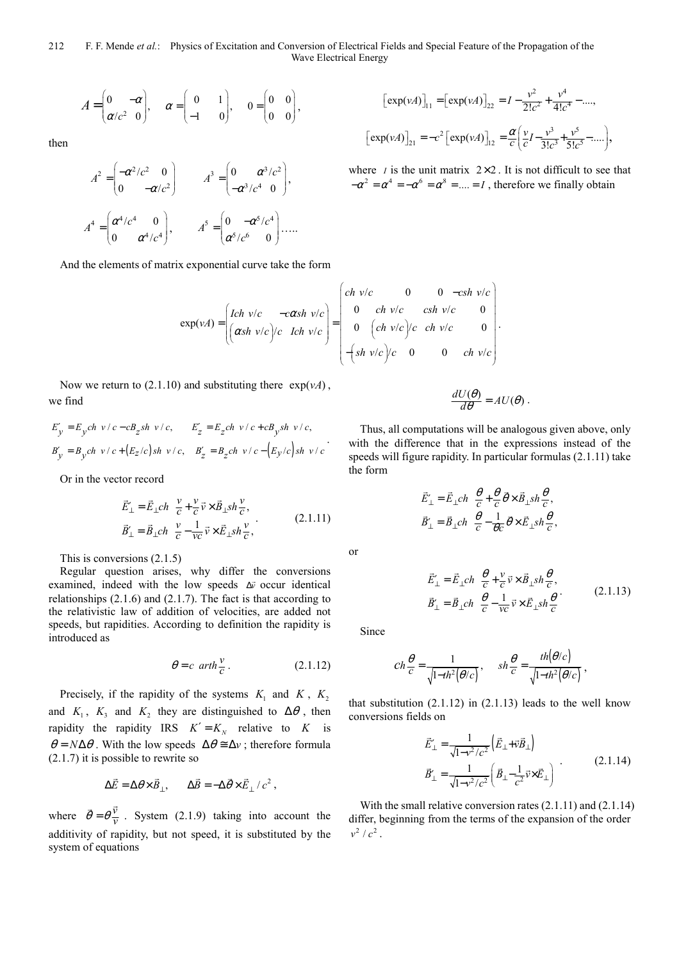$$
A = \begin{pmatrix} 0 & -\alpha \\ \alpha/c^2 & 0 \end{pmatrix}, \quad \alpha = \begin{pmatrix} 0 & 1 \\ -1 & 0 \end{pmatrix}, \quad 0 = \begin{pmatrix} 0 & 0 \\ 0 & 0 \end{pmatrix},
$$

then

$$
A^{2} = \begin{pmatrix} -\alpha^{2}/c^{2} & 0 \\ 0 & -\alpha/c^{2} \end{pmatrix} \qquad A^{3} = \begin{pmatrix} 0 & \alpha^{3}/c^{2} \\ -\alpha^{3}/c^{4} & 0 \end{pmatrix},
$$

$$
A^{4} = \begin{pmatrix} \alpha^{4}/c^{4} & 0 \\ 0 & \alpha^{4}/c^{4} \end{pmatrix}, \qquad A^{5} = \begin{pmatrix} 0 & -\alpha^{5}/c^{4} \\ \alpha^{5}/c^{6} & 0 \end{pmatrix} \dots
$$

And the elements of matrix exponential curve take the form

$$
\exp(\nu A) = \begin{pmatrix} Ich & v/c & -c\alpha sh & v/c \\ \left(\alpha sh & v/c\right)/c & Ich & v/c \end{pmatrix} = \begin{pmatrix} ch & v/c & 0 & 0 & -csh & v/c \\ 0 & ch & v/c & csh & v/c & 0 \\ 0 & \left(\alpha h & v/c\right)/c & ch & v/c & 0 \\ -\left(\sin v/c\right)/c & 0 & 0 & ch & v/c \end{pmatrix}.
$$

Now we return to  $(2.1.10)$  and substituting there  $\exp(\nu A)$ , we find

$$
E'_y = E_y ch \ v/c - cB_z sh \ v/c,
$$
  
\n
$$
E'_z = E_z ch \ v/c + cB_y sh \ v/c,
$$
  
\n
$$
B'_y = B_y ch \ v/c + (E_z/c) sh \ v/c,
$$
  
\n
$$
B'_z = B_z ch \ v/c - (E_y/c) sh \ v/c.
$$

Or in the vector record

$$
\vec{E}_{\perp}^{\prime} = \vec{E}_{\perp} ch \frac{v}{c} + \frac{v}{c} \vec{v} \times \vec{B}_{\perp} sh \frac{v}{c},
$$
\n
$$
\vec{B}_{\perp}^{\prime} = \vec{B}_{\perp} ch \frac{v}{c} - \frac{1}{vc} \vec{v} \times \vec{E}_{\perp} sh \frac{v}{c},
$$
\n(2.1.11)

This is conversions (2.1.5)

Regular question arises, why differ the conversions examined, indeed with the low speeds ∆*v* occur identical relationships (2.1.6) and (2.1.7). The fact is that according to the relativistic law of addition of velocities, are added not speeds, but rapidities. According to definition the rapidity is introduced as

$$
\theta = c \ \ arth \frac{v}{c} \,. \tag{2.1.12}
$$

Precisely, if the rapidity of the systems  $K_1$  and  $K$ ,  $K_2$ and  $K_1$ ,  $K_3$  and  $K_2$  they are distinguished to  $\Delta\theta$ , then rapidity the rapidity IRS  $K' = K_N$  relative to K is  $\theta = N\Delta\theta$ . With the low speeds  $\Delta\theta \approx \Delta v$ ; therefore formula (2.1.7) it is possible to rewrite so

$$
\Delta \vec{E} = \Delta \theta \times \vec{B}_{\perp}, \qquad \Delta \vec{B} = -\Delta \vec{\theta} \times \vec{E}_{\perp} / c^2 ,
$$

where  $\vec{\theta} = \theta \frac{\vec{v}}{v}$  $\overline{v}$ . System (2.1.9) taking into account the additivity of rapidity, but not speed, it is substituted by the system of equations

$$
\begin{aligned} \left[\exp(\nu A)\right]_{11} &= \left[\exp(\nu A)\right]_{22} = I - \frac{\nu^2}{2!c^2} + \frac{\nu^4}{4!c^4} - \dots, \\ \left[\exp(\nu A)\right]_{21} &= -c^2 \left[\exp(\nu A)\right]_{12} = \frac{\alpha}{c} \left(\frac{\nu}{c} - \frac{\nu^3}{3!c^3} + \frac{\nu^5}{5!c^5} - \dots\right), \end{aligned}
$$

where *I* is the unit matrix  $2 \times 2$ . It is not difficult to see that  $-\alpha^2 = \alpha^4 = -\alpha^6 = \alpha^8 = \dots = I$ , therefore we finally obtain

$$
\frac{dU(\theta)}{d\theta} = AU(\theta) \; .
$$

Thus, all computations will be analogous given above, only with the difference that in the expressions instead of the speeds will figure rapidity. In particular formulas (2.1.11) take the form

$$
\begin{split} \vec{E}_{\perp}' = \vec{E}_{\perp} ch \ \ \frac{\theta}{c} + \frac{\theta}{c} \, \vec{\theta} \times \vec{B}_{\perp} sh \frac{\theta}{c} \,, \\ \vec{B}_{\perp}' = \vec{B}_{\perp} ch \ \ \frac{\theta}{c} - \frac{1}{\theta c} \, \vec{\theta} \times \vec{E}_{\perp} sh \frac{\theta}{c} \,, \end{split}
$$

or

$$
\vec{E}_{\perp}^{\prime} = \vec{E}_{\perp} ch \frac{\theta}{c} + \frac{v}{c} \vec{v} \times \vec{B}_{\perp} sh \frac{\theta}{c},
$$
\n
$$
\vec{B}_{\perp}^{\prime} = \vec{B}_{\perp} ch \frac{\theta}{c} - \frac{1}{vc} \vec{v} \times \vec{E}_{\perp} sh \frac{\theta}{c}.
$$
\n(2.1.13)

,

Since

$$
Ch\frac{\theta}{c} = \frac{1}{\sqrt{1 - th^2(\theta/c)}}, \quad sh\frac{\theta}{c} = \frac{th(\theta/c)}{\sqrt{1 - th^2(\theta/c)}}
$$

that substitution  $(2.1.12)$  in  $(2.1.13)$  leads to the well know conversions fields on

$$
\vec{E}_{\perp}^{\prime} = \frac{1}{\sqrt{1 - v^2/c^2}} \left( \vec{E}_{\perp} + \vec{v} \vec{B}_{\perp} \right)
$$
\n
$$
\vec{B}_{\perp}^{\prime} = \frac{1}{\sqrt{1 - v^2/c^2}} \left( \vec{B}_{\perp} - \frac{1}{c^2} \vec{v} \times \vec{E}_{\perp} \right) \tag{2.1.14}
$$

With the small relative conversion rates (2.1.11) and (2.1.14) differ, beginning from the terms of the expansion of the order  $v^2/c^2$ .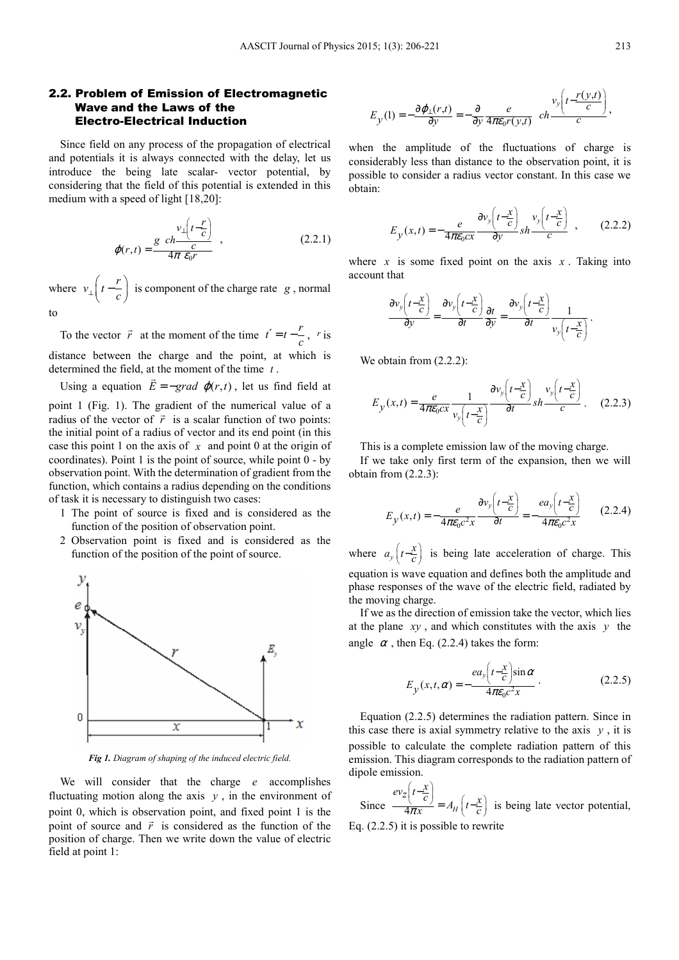#### 2.2. Problem of Emission of Electromagnetic Wave and the Laws of the Electro-Electrical Induction

Since field on any process of the propagation of electrical and potentials it is always connected with the delay, let us introduce the being late scalar- vector potential, by considering that the field of this potential is extended in this medium with a speed of light [18,20]:

$$
\varphi(r,t) = \frac{g \ c h \frac{v_{\perp}(t-\frac{r}{c})}{c}}{4\pi \ \varepsilon_0 r} \quad , \tag{2.2.1}
$$

where  $v_{\perp} \left( t - \frac{r}{c} \right)$  is component of the charge rate *g*, normal to

To the vector  $\vec{r}$  at the moment of the time  $t' = t - \frac{r}{c}$ ,  $r$  is distance between the charge and the point, at which is determined the field, at the moment of the time *t* .

Using a equation  $E = -\text{grad }\varphi(r, t)$ , let us find field at point 1 (Fig. 1). The gradient of the numerical value of a radius of the vector of  $\vec{r}$  is a scalar function of two points: the initial point of a radius of vector and its end point (in this case this point 1 on the axis of *x* and point 0 at the origin of coordinates). Point 1 is the point of source, while point 0 - by observation point. With the determination of gradient from the

function, which contains a radius depending on the conditions of task it is necessary to distinguish two cases:

- 1 The point of source is fixed and is considered as the function of the position of observation point.
- 2 Observation point is fixed and is considered as the function of the position of the point of source.



*Fig 1. Diagram of shaping of the induced electric field.* 

We will consider that the charge *e* accomplishes fluctuating motion along the axis  $y$ , in the environment of point 0, which is observation point, and fixed point 1 is the point of source and  $\vec{r}$  is considered as the function of the position of charge. Then we write down the value of electric field at point 1:

$$
E_y(1) = -\frac{\partial \varphi_1(r,t)}{\partial y} = -\frac{\partial}{\partial y} \frac{e}{4\pi \varepsilon_0 r(y,t)} \quad ch \frac{v_y\left(t - \frac{r(y,t)}{c}\right)}{c},
$$

when the amplitude of the fluctuations of charge is considerably less than distance to the observation point, it is possible to consider a radius vector constant. In this case we obtain:

$$
E_y(x,t) = -\frac{e}{4\pi\epsilon_0 cx} \frac{\partial v_y\left(t - \frac{x}{c}\right)}{\partial y} sh \frac{v_y\left(t - \frac{x}{c}\right)}{c} ,\qquad(2.2.2)
$$

where  $x$  is some fixed point on the axis  $x$ . Taking into account that

$$
\frac{\partial v_y \left(t - \frac{x}{c}\right)}{\partial y} = \frac{\partial v_y \left(t - \frac{x}{c}\right)}{\partial t} \frac{\partial t}{\partial y} = \frac{\partial v_y \left(t - \frac{x}{c}\right)}{\partial t} \frac{1}{v_y \left(t - \frac{x}{c}\right)}
$$

We obtain from  $(2.2.2)$ :

$$
E_y(x,t) = \frac{e}{4\pi\epsilon_0 cx} \frac{1}{v_y\left(t - \frac{x}{c}\right)} \frac{\partial v_y\left(t - \frac{x}{c}\right)}{\partial t} sh \frac{v_y\left(t - \frac{x}{c}\right)}{c}.
$$
 (2.2.3)

This is a complete emission law of the moving charge. If we take only first term of the expansion, then we will obtain from (2.2.3):

$$
E_y(x,t) = -\frac{e}{4\pi\epsilon_0 c^2 x} \frac{\partial v_y\left(t - \frac{x}{c}\right)}{\partial t} = -\frac{ea_y\left(t - \frac{x}{c}\right)}{4\pi\epsilon_0 c^2 x} \tag{2.2.4}
$$

where  $a_y\left(t-\frac{x}{c}\right)$  is being late acceleration of charge. This equation is wave equation and defines both the amplitude and phase responses of the wave of the electric field, radiated by the moving charge.

If we as the direction of emission take the vector, which lies at the plane *xy* , and which constitutes with the axis *y* the angle  $\alpha$ , then Eq. (2.2.4) takes the form:

$$
E_y(x,t,\alpha) = -\frac{ea_y\left(t - \frac{x}{c}\right)\sin\alpha}{4\pi\epsilon_0 c^2 x} \,. \tag{2.2.5}
$$

Equation (2.2.5) determines the radiation pattern. Since in this case there is axial symmetry relative to the axis  $y$ , it is possible to calculate the complete radiation pattern of this emission. This diagram corresponds to the radiation pattern of dipole emission.

Since  $\frac{1}{4\pi x} = A_H$  $\frac{ev_z\left(t-\frac{x}{c}\right)}{4\pi x} = A_H\left(t-\frac{x}{c}\right)$  $= A_H |t-\frac{\lambda}{c}|$  is being late vector potential,

Eq. (2.2.5) it is possible to rewrite

.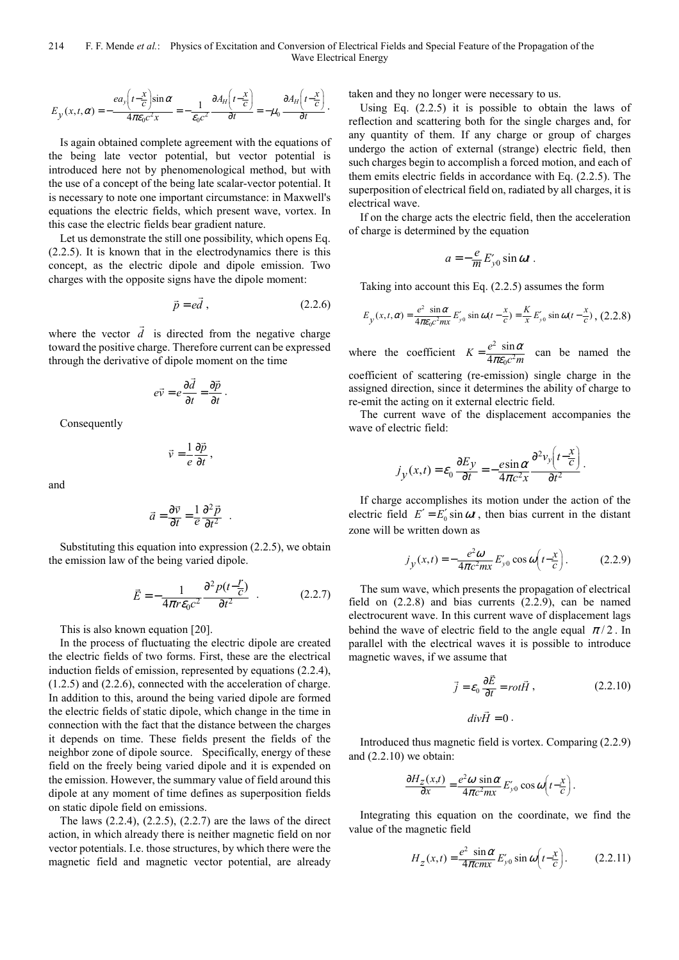$$
E_y(x,t,\alpha) = -\frac{ea_y\left(t-\frac{x}{c}\right)\sin\alpha}{4\pi\epsilon_0c^2x} = -\frac{1}{\epsilon_0c^2}\frac{\partial A_H\left(t-\frac{x}{c}\right)}{\partial t} = -\mu_0\frac{\partial A_H\left(t-\frac{x}{c}\right)}{\partial t}.
$$

Is again obtained complete agreement with the equations of the being late vector potential, but vector potential is introduced here not by phenomenological method, but with the use of a concept of the being late scalar-vector potential. It is necessary to note one important circumstance: in Maxwell's equations the electric fields, which present wave, vortex. In this case the electric fields bear gradient nature.

Let us demonstrate the still one possibility, which opens Eq. (2.2.5). It is known that in the electrodynamics there is this concept, as the electric dipole and dipole emission. Two charges with the opposite signs have the dipole moment:

$$
\vec{p} = e\vec{d} ,\qquad (2.2.6)
$$

where the vector  $d$  is directed from the negative charge toward the positive charge. Therefore current can be expressed through the derivative of dipole moment on the time

 $\overline{a}$ 

$$
e\vec{v} = e\frac{\partial \vec{d}}{\partial t} = \frac{\partial \vec{p}}{\partial t}.
$$

Consequently

$$
\vec{v} = \frac{1}{e} \frac{\partial \vec{p}}{\partial t},
$$

and

$$
\vec{a} = \frac{\partial \vec{v}}{\partial t} = \frac{1}{e} \frac{\partial^2 \vec{p}}{\partial t^2} .
$$

Substituting this equation into expression (2.2.5), we obtain the emission law of the being varied dipole.

$$
\vec{E} = -\frac{1}{4\pi r \varepsilon_0 c^2} \frac{\partial^2 p(t - \frac{r}{c})}{\partial t^2} \quad . \tag{2.2.7}
$$

This is also known equation [20].

In the process of fluctuating the electric dipole are created the electric fields of two forms. First, these are the electrical induction fields of emission, represented by equations (2.2.4), (1.2.5) and (2.2.6), connected with the acceleration of charge. In addition to this, around the being varied dipole are formed the electric fields of static dipole, which change in the time in connection with the fact that the distance between the charges it depends on time. These fields present the fields of the neighbor zone of dipole source. Specifically, energy of these field on the freely being varied dipole and it is expended on the emission. However, the summary value of field around this dipole at any moment of time defines as superposition fields on static dipole field on emissions.

The laws (2.2.4), (2.2.5), (2.2.7) are the laws of the direct action, in which already there is neither magnetic field on nor vector potentials. I.e. those structures, by which there were the magnetic field and magnetic vector potential, are already

taken and they no longer were necessary to us.

Using Eq. (2.2.5) it is possible to obtain the laws of reflection and scattering both for the single charges and, for any quantity of them. If any charge or group of charges undergo the action of external (strange) electric field, then such charges begin to accomplish a forced motion, and each of them emits electric fields in accordance with Eq. (2.2.5). The superposition of electrical field on, radiated by all charges, it is electrical wave.

If on the charge acts the electric field, then the acceleration of charge is determined by the equation

$$
a=-\frac{e}{m}E'_{y0}\sin \omega t.
$$

Taking into account this Eq. (2.2.5) assumes the form

$$
E_y(x,t,\alpha) = \frac{e^2 \sin \alpha}{4\pi\epsilon_0 c^2 m x} E_{y0}' \sin \omega(t - \frac{x}{c}) = \frac{K}{x} E_{y0}' \sin \omega(t - \frac{x}{c}), (2.2.8)
$$

where the coefficient  $K = \frac{e^2}{4}$  $\overline{c^2}$ sin 4  $K = \frac{e^2 \sin \alpha}{4\pi \varepsilon_0 c^2 m}$ α  $=\frac{e \sin \alpha}{4\pi \epsilon_0 c^2 m}$  can be named the

coefficient of scattering (re-emission) single charge in the assigned direction, since it determines the ability of charge to re-emit the acting on it external electric field.

The current wave of the displacement accompanies the wave of electric field:

$$
j_{y}(x,t) = \varepsilon_0 \frac{\partial E_y}{\partial t} = -\frac{e \sin \alpha}{4\pi c^2 x} \frac{\partial^2 v_y \left(t - \frac{x}{c}\right)}{\partial t^2}.
$$

If charge accomplishes its motion under the action of the electric field  $E' = E_0' \sin \omega t$ , then bias current in the distant zone will be written down as

$$
j_y(x,t) = -\frac{e^2 \omega}{4\pi c^2 m x} E'_{y0} \cos \omega \left( t - \frac{x}{c} \right).
$$
 (2.2.9)

The sum wave, which presents the propagation of electrical field on (2.2.8) and bias currents (2.2.9), can be named electrocurent wave. In this current wave of displacement lags behind the wave of electric field to the angle equal  $\pi/2$ . In parallel with the electrical waves it is possible to introduce magnetic waves, if we assume that

$$
\vec{j} = \varepsilon_0 \frac{\partial \vec{E}}{\partial t} = rot \vec{H}, \qquad (2.2.10)
$$

.

$$
div\vec{H}=0.
$$

Introduced thus magnetic field is vortex. Comparing (2.2.9) and (2.2.10) we obtain:

$$
\frac{\partial H_z(x,t)}{\partial x} = \frac{e^2 \omega \sin \alpha}{4\pi c^2 m x} E'_{y0} \cos \omega \left(t - \frac{x}{c}\right)
$$

Integrating this equation on the coordinate, we find the value of the magnetic field

$$
H_z(x,t) = \frac{e^2 \sin \alpha}{4\pi cm} E'_{y0} \sin \omega \left(t - \frac{x}{c}\right).
$$
 (2.2.11)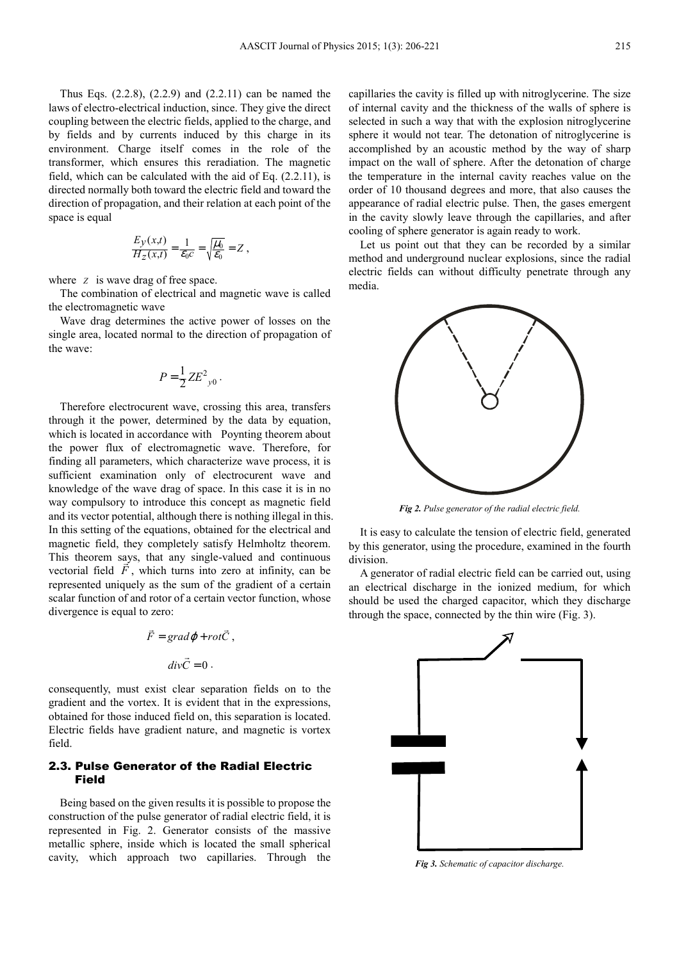Thus Eqs. (2.2.8), (2.2.9) and (2.2.11) can be named the laws of electro-electrical induction, since. They give the direct coupling between the electric fields, applied to the charge, and by fields and by currents induced by this charge in its environment. Charge itself comes in the role of the transformer, which ensures this reradiation. The magnetic field, which can be calculated with the aid of Eq. (2.2.11), is directed normally both toward the electric field and toward the direction of propagation, and their relation at each point of the space is equal

$$
\frac{E_y(x,t)}{H_z(x,t)} = \frac{1}{\varepsilon_0 c} = \sqrt{\frac{\mu_0}{\varepsilon_0}} = Z,
$$

where *z* is wave drag of free space.

The combination of electrical and magnetic wave is called the electromagnetic wave

Wave drag determines the active power of losses on the single area, located normal to the direction of propagation of the wave:

$$
P = \frac{1}{2} Z E_{y0}^2.
$$

Therefore electrocurent wave, crossing this area, transfers through it the power, determined by the data by equation, which is located in accordance with Poynting theorem about the power flux of electromagnetic wave. Therefore, for finding all parameters, which characterize wave process, it is sufficient examination only of electrocurent wave and knowledge of the wave drag of space. In this case it is in no way compulsory to introduce this concept as magnetic field and its vector potential, although there is nothing illegal in this. In this setting of the equations, obtained for the electrical and magnetic field, they completely satisfy Helmholtz theorem. This theorem says, that any single-valued and continuous vectorial field  $F$ , which turns into zero at infinity, can be represented uniquely as the sum of the gradient of a certain scalar function of and rotor of a certain vector function, whose divergence is equal to zero:

$$
\vec{F} = grad \varphi + rot \vec{C} ,
$$

$$
div \vec{C} = 0 .
$$

consequently, must exist clear separation fields on to the gradient and the vortex. It is evident that in the expressions, obtained for those induced field on, this separation is located. Electric fields have gradient nature, and magnetic is vortex field.

#### 2.3. Pulse Generator of the Radial Electric Field

Being based on the given results it is possible to propose the construction of the pulse generator of radial electric field, it is represented in Fig. 2. Generator consists of the massive metallic sphere, inside which is located the small spherical cavity, which approach two capillaries. Through the capillaries the cavity is filled up with nitroglycerine. The size of internal cavity and the thickness of the walls of sphere is selected in such a way that with the explosion nitroglycerine sphere it would not tear. The detonation of nitroglycerine is accomplished by an acoustic method by the way of sharp impact on the wall of sphere. After the detonation of charge the temperature in the internal cavity reaches value on the order of 10 thousand degrees and more, that also causes the appearance of radial electric pulse. Then, the gases emergent in the cavity slowly leave through the capillaries, and after cooling of sphere generator is again ready to work.

Let us point out that they can be recorded by a similar method and underground nuclear explosions, since the radial electric fields can without difficulty penetrate through any media.



*Fig 2. Pulse generator of the radial electric field.* 

It is easy to calculate the tension of electric field, generated by this generator, using the procedure, examined in the fourth division.

A generator of radial electric field can be carried out, using an electrical discharge in the ionized medium, for which should be used the charged capacitor, which they discharge through the space, connected by the thin wire (Fig. 3).



*Fig 3. Schematic of capacitor discharge.*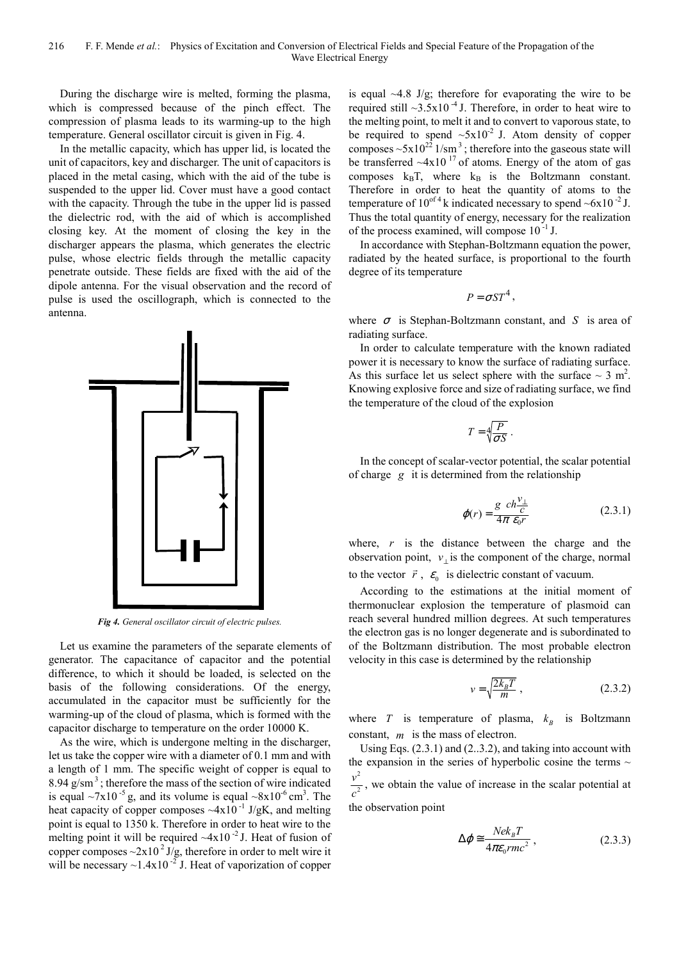During the discharge wire is melted, forming the plasma, which is compressed because of the pinch effect. The compression of plasma leads to its warming-up to the high temperature. General oscillator circuit is given in Fig. 4.

In the metallic capacity, which has upper lid, is located the unit of capacitors, key and discharger. The unit of capacitors is placed in the metal casing, which with the aid of the tube is suspended to the upper lid. Cover must have a good contact with the capacity. Through the tube in the upper lid is passed the dielectric rod, with the aid of which is accomplished closing key. At the moment of closing the key in the discharger appears the plasma, which generates the electric pulse, whose electric fields through the metallic capacity penetrate outside. These fields are fixed with the aid of the dipole antenna. For the visual observation and the record of pulse is used the oscillograph, which is connected to the antenna.



*Fig 4. General oscillator circuit of electric pulses.* 

Let us examine the parameters of the separate elements of generator. The capacitance of capacitor and the potential difference, to which it should be loaded, is selected on the basis of the following considerations. Of the energy, accumulated in the capacitor must be sufficiently for the warming-up of the cloud of plasma, which is formed with the capacitor discharge to temperature on the order 10000 K.

As the wire, which is undergone melting in the discharger, let us take the copper wire with a diameter of 0.1 mm and with a length of 1 mm. The specific weight of copper is equal to 8.94  $g/cm<sup>3</sup>$ ; therefore the mass of the section of wire indicated is equal  $\sim 7 \times 10^{-5}$  g, and its volume is equal  $\sim 8 \times 10^{-6}$  cm<sup>3</sup>. The heat capacity of copper composes  $\sim 4x10^{-1}$  J/gK, and melting point is equal to 1350 k. Therefore in order to heat wire to the melting point it will be required  $-4x10^{-2}$  J. Heat of fusion of copper composes  $\sim$ 2x10<sup>2</sup> J/g, therefore in order to melt wire it will be necessary  $\sim$ 1.4x10<sup>-2</sup> J. Heat of vaporization of copper is equal  $\sim$ 4.8 J/g; therefore for evaporating the wire to be required still  $\sim$ 3.5x10<sup>-4</sup> J. Therefore, in order to heat wire to the melting point, to melt it and to convert to vaporous state, to be required to spend  $\sim 5x10^{-2}$  J. Atom density of copper composes  $\sim 5x10^{22}$  1/sm<sup>3</sup>; therefore into the gaseous state will be transferred  $-4x10^{17}$  of atoms. Energy of the atom of gas composes  $k_BT$ , where  $k_B$  is the Boltzmann constant. Therefore in order to heat the quantity of atoms to the temperature of  $10^{of 4}$  k indicated necessary to spend  $\sim 6x10^{-2}$  J. Thus the total quantity of energy, necessary for the realization of the process examined, will compose  $10^{-1}$  J.

In accordance with Stephan-Boltzmann equation the power, radiated by the heated surface, is proportional to the fourth degree of its temperature

$$
P = \sigma S T^4,
$$

where  $\sigma$  is Stephan-Boltzmann constant, and *S* is area of radiating surface.

In order to calculate temperature with the known radiated power it is necessary to know the surface of radiating surface. As this surface let us select sphere with the surface  $\sim 3$  m<sup>2</sup>. Knowing explosive force and size of radiating surface, we find the temperature of the cloud of the explosion

$$
T = \sqrt[4]{\frac{P}{\sigma S}}.
$$

In the concept of scalar-vector potential, the scalar potential of charge *g* it is determined from the relationship

$$
\varphi(r) = \frac{g \ c h \frac{v_{\perp}}{c}}{4\pi \ \varepsilon_0 r} \tag{2.3.1}
$$

where, *r* is the distance between the charge and the observation point,  $v_{\perp}$  is the component of the charge, normal to the vector  $\vec{r}$ ,  $\varepsilon_0$  is dielectric constant of vacuum.

According to the estimations at the initial moment of thermonuclear explosion the temperature of plasmoid can reach several hundred million degrees. At such temperatures the electron gas is no longer degenerate and is subordinated to of the Boltzmann distribution. The most probable electron velocity in this case is determined by the relationship

$$
v = \sqrt{\frac{2k_B T}{m}} \tag{2.3.2}
$$

where *T* is temperature of plasma,  $k_B$  is Boltzmann constant, *m* is the mass of electron.

Using Eqs. (2.3.1) and (2..3.2), and taking into account with the expansion in the series of hyperbolic cosine the terms  $\sim$ 2 2 *v c* , we obtain the value of increase in the scalar potential at

the observation point

$$
\Delta \varphi \cong \frac{Nek_{B}T}{4\pi\varepsilon_{0}rmc^{2}}\,,\tag{2.3.3}
$$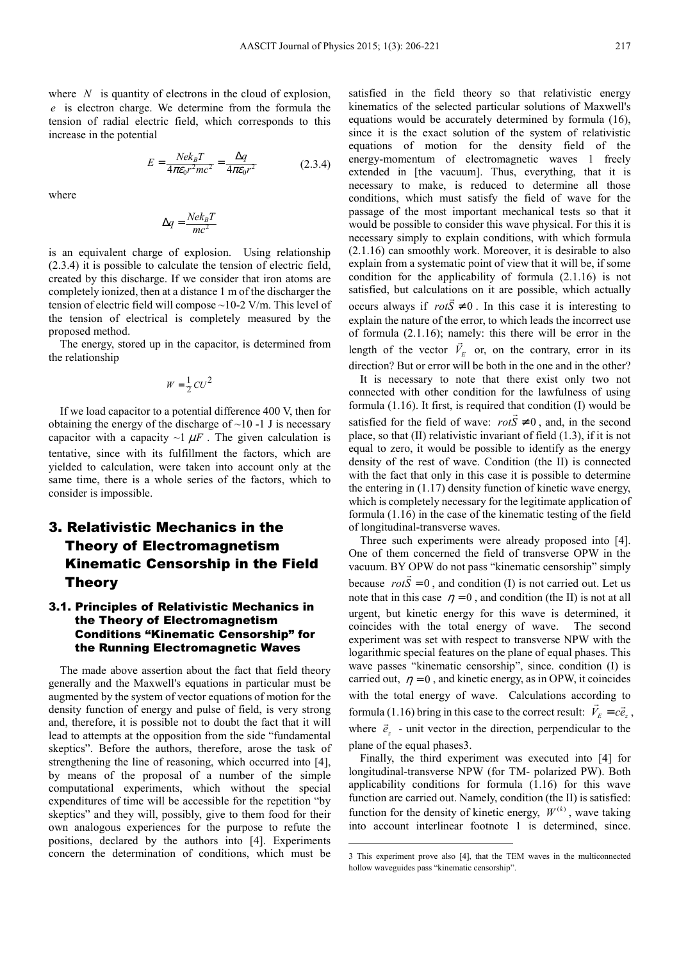where *N* is quantity of electrons in the cloud of explosion, *e* is electron charge. We determine from the formula the tension of radial electric field, which corresponds to this increase in the potential

$$
E = \frac{Nek_B T}{4\pi\epsilon_0 r^2 mc^2} = \frac{\Delta q}{4\pi\epsilon_0 r^2}
$$
 (2.3.4)

where

$$
\Delta q = \frac{Nek_BT}{mc^2}
$$

is an equivalent charge of explosion. Using relationship (2.3.4) it is possible to calculate the tension of electric field, created by this discharge. If we consider that iron atoms are completely ionized, then at a distance 1 m of the discharger the tension of electric field will compose ~10-2 V/m. This level of the tension of electrical is completely measured by the proposed method.

The energy, stored up in the capacitor, is determined from the relationship

$$
W = \frac{1}{2}CU^2
$$

If we load capacitor to a potential difference 400 V, then for obtaining the energy of the discharge of  $\sim$ 10 -1 J is necessary capacitor with a capacity  $\sim$ 1  $\mu$ F. The given calculation is tentative, since with its fulfillment the factors, which are yielded to calculation, were taken into account only at the same time, there is a whole series of the factors, which to consider is impossible.

# 3. Relativistic Mechanics in the Theory of Electromagnetism Kinematic Censorship in the Field Theory

#### 3.1. Principles of Relativistic Mechanics in the Theory of Electromagnetism Conditions "Kinematic Censorship" for the Running Electromagnetic Waves

The made above assertion about the fact that field theory generally and the Maxwell's equations in particular must be augmented by the system of vector equations of motion for the density function of energy and pulse of field, is very strong and, therefore, it is possible not to doubt the fact that it will lead to attempts at the opposition from the side "fundamental skeptics". Before the authors, therefore, arose the task of strengthening the line of reasoning, which occurred into [4], by means of the proposal of a number of the simple computational experiments, which without the special expenditures of time will be accessible for the repetition "by skeptics" and they will, possibly, give to them food for their own analogous experiences for the purpose to refute the positions, declared by the authors into [4]. Experiments concern the determination of conditions, which must be satisfied in the field theory so that relativistic energy kinematics of the selected particular solutions of Maxwell's equations would be accurately determined by formula (16), since it is the exact solution of the system of relativistic equations of motion for the density field of the energy-momentum of electromagnetic waves 1 freely extended in [the vacuum]. Thus, everything, that it is necessary to make, is reduced to determine all those conditions, which must satisfy the field of wave for the passage of the most important mechanical tests so that it would be possible to consider this wave physical. For this it is necessary simply to explain conditions, with which formula (2.1.16) can smoothly work. Moreover, it is desirable to also explain from a systematic point of view that it will be, if some condition for the applicability of formula (2.1.16) is not satisfied, but calculations on it are possible, which actually occurs always if  $rotS \neq 0$ . In this case it is interesting to explain the nature of the error, to which leads the incorrect use of formula  $(2.1.16)$ ; namely: this there will be error in the length of the vector  $V_E$  or, on the contrary, error in its direction? But or error will be both in the one and in the other?

It is necessary to note that there exist only two not connected with other condition for the lawfulness of using formula  $(1.16)$ . It first, is required that condition  $(I)$  would be satisfied for the field of wave:  $rotS \neq 0$ , and, in the second place, so that (II) relativistic invariant of field (1.3), if it is not equal to zero, it would be possible to identify as the energy density of the rest of wave. Condition (the II) is connected with the fact that only in this case it is possible to determine the entering in (1.17) density function of kinetic wave energy, which is completely necessary for the legitimate application of formula (1.16) in the case of the kinematic testing of the field of longitudinal-transverse waves.

Three such experiments were already proposed into [4]. One of them concerned the field of transverse OPW in the vacuum. BY OPW do not pass "kinematic censorship" simply because  $rotS = 0$ , and condition (I) is not carried out. Let us note that in this case  $\eta = 0$ , and condition (the II) is not at all urgent, but kinetic energy for this wave is determined, it coincides with the total energy of wave. The second experiment was set with respect to transverse NPW with the logarithmic special features on the plane of equal phases. This wave passes "kinematic censorship", since. condition (I) is carried out,  $\eta = 0$ , and kinetic energy, as in OPW, it coincides with the total energy of wave. Calculations according to  $\vec{v}$ formula (1.16) bring in this case to the correct result:  $V_E = c\vec{e}_z$ , where  $\vec{e}_z$  - unit vector in the direction, perpendicular to the plane of the equal phases3.

Finally, the third experiment was executed into [4] for longitudinal-transverse NPW (for TM- polarized PW). Both applicability conditions for formula (1.16) for this wave function are carried out. Namely, condition (the II) is satisfied: function for the density of kinetic energy,  $W^{(k)}$ , wave taking into account interlinear footnote 1 is determined, since.

<sup>3</sup> This experiment prove also [4], that the TEM waves in the multiconnected hollow waveguides pass "kinematic censorship".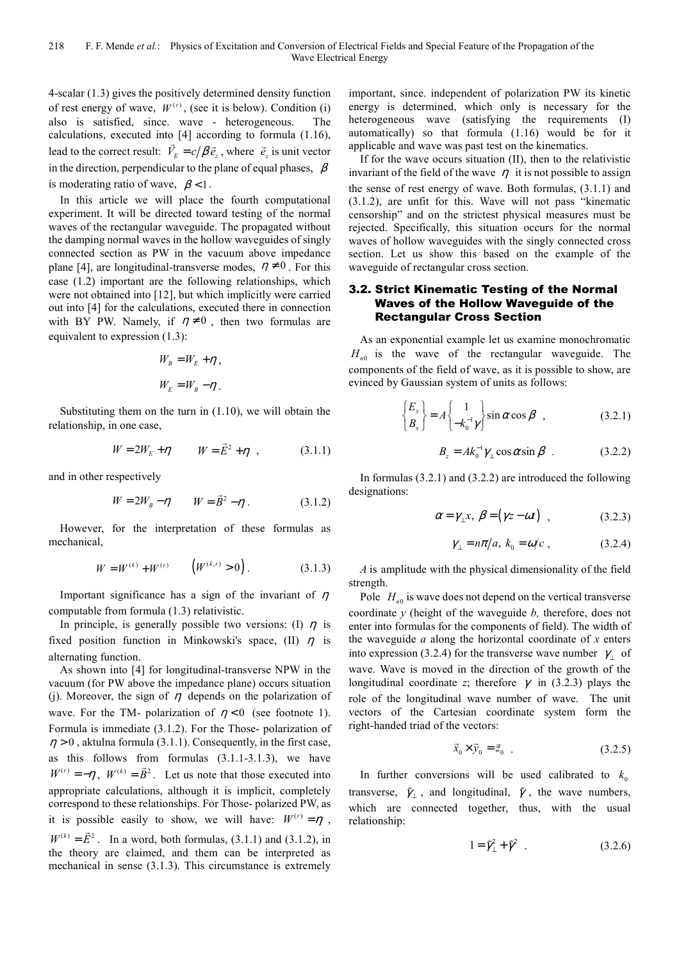4-scalar (1.3) gives the positively determined density function of rest energy of wave,  $W^{(r)}$ , (see it is below). Condition (i) also is satisfied, since. wave - heterogeneous. The calculations, executed into [4] according to formula (1.16), lead to the correct result:  $\vec{V}_E = c/\beta \vec{e}_z$ , where  $\vec{e}_z$  is unit vector in the direction, perpendicular to the plane of equal phases,  $\beta$ is moderating ratio of wave,  $\beta < 1$ .

In this article we will place the fourth computational experiment. It will be directed toward testing of the normal waves of the rectangular waveguide. The propagated without the damping normal waves in the hollow waveguides of singly connected section as PW in the vacuum above impedance plane [4], are longitudinal-transverse modes,  $\eta \neq 0$ . For this case (1.2) important are the following relationships, which were not obtained into [12], but which implicitly were carried out into [4] for the calculations, executed there in connection with BY PW. Namely, if  $\eta \neq 0$ , then two formulas are equivalent to expression (1.3):

$$
W_B = W_E + \eta ,
$$
  

$$
W_E = W_B - \eta .
$$

Substituting them on the turn in (1.10), we will obtain the relationship, in one case,

$$
W = 2W_E + \eta \qquad W = \vec{E}^2 + \eta \qquad (3.1.1)
$$

and in other respectively

$$
W = 2W_B - \eta \qquad W = \vec{B}^2 - \eta \,. \tag{3.1.2}
$$

However, for the interpretation of these formulas as mechanical,

$$
W = W^{(k)} + W^{(r)} \qquad \left( W^{(k,r)} > 0 \right). \tag{3.1.3}
$$

Important significance has a sign of the invariant of  $\eta$ computable from formula (1.3) relativistic.

In principle, is generally possible two versions: (I)  $\eta$  is fixed position function in Minkowski's space, (II)  $\eta$  is alternating function.

As shown into [4] for longitudinal-transverse NPW in the vacuum (for PW above the impedance plane) occurs situation (j). Moreover, the sign of  $\eta$  depends on the polarization of wave. For the TM- polarization of  $\eta < 0$  (see footnote 1). Formula is immediate (3.1.2). For the Those- polarization of  $\eta > 0$ , aktulna formula (3.1.1). Consequently, in the first case, as this follows from formulas  $(3.1.1-3.1.3)$ , we have  $W^{(r)} = -\eta$ ,  $W^{(k)} = \vec{B}^2$ . Let us note that those executed into appropriate calculations, although it is implicit, completely correspond to these relationships. For Those- polarized PW, as it is possible easily to show, we will have:  $W^{(r)} = \eta$ .  $W^{(k)} = \vec{E}^2$  $\ddot{\phantom{0}}$ . In a word, both formulas,  $(3.1.1)$  and  $(3.1.2)$ , in the theory are claimed, and them can be interpreted as mechanical in sense (3.1.3). This circumstance is extremely

important, since. independent of polarization PW its kinetic energy is determined, which only is necessary for the heterogeneous wave (satisfying the requirements (I) automatically) so that formula (1.16) would be for it applicable and wave was past test on the kinematics.

If for the wave occurs situation (II), then to the relativistic invariant of the field of the wave  $\eta$  it is not possible to assign the sense of rest energy of wave. Both formulas, (3.1.1) and (3.1.2), are unfit for this. Wave will not pass "kinematic censorship" and on the strictest physical measures must be rejected. Specifically, this situation occurs for the normal waves of hollow waveguides with the singly connected cross section. Let us show this based on the example of the waveguide of rectangular cross section.

#### 3.2. Strict Kinematic Testing of the Normal Waves of the Hollow Waveguide of the Rectangular Cross Section

As an exponential example let us examine monochromatic  $H_{n0}$  is the wave of the rectangular waveguide. The components of the field of wave, as it is possible to show, are evinced by Gaussian system of units as follows:

$$
\begin{Bmatrix} E_y \\ B_x \end{Bmatrix} = A \begin{Bmatrix} 1 \\ -k_0^{-1} \gamma \end{Bmatrix} \sin \alpha \cos \beta \quad , \tag{3.2.1}
$$

$$
B_z = Ak_0^{-1}\gamma_\perp\cos\alpha\sin\beta\quad.\tag{3.2.2}
$$

In formulas (3.2.1) and (3.2.2) are introduced the following designations:

$$
\alpha = \gamma_{\perp} x, \ \beta = (\gamma z - \omega t) \quad , \tag{3.2.3}
$$

$$
\gamma_{\perp} = n\pi/a, \ k_0 = \omega/c \ , \qquad (3.2.4)
$$

*A* is amplitude with the physical dimensionality of the field strength.

Pole  $H_{n0}$  is wave does not depend on the vertical transverse coordinate *y* (height of the waveguide *b,* therefore, does not enter into formulas for the components of field). The width of the waveguide *a* along the horizontal coordinate of *x* enters into expression (3.2.4) for the transverse wave number  $\gamma_{\perp}$  of wave. Wave is moved in the direction of the growth of the longitudinal coordinate *z*; therefore  $\gamma$  in (3.2.3) plays the role of the longitudinal wave number of wave. The unit vectors of the Cartesian coordinate system form the right-handed triad of the vectors:

$$
\vec{x}_0 \times \vec{y}_0 = \vec{z}_0 \quad . \tag{3.2.5}
$$

In further conversions will be used calibrated to  $k_0$ transverse,  $\tilde{\gamma}_1$ , and longitudinal,  $\tilde{\gamma}$ , the wave numbers, which are connected together, thus, with the usual relationship:

$$
1 = \tilde{\gamma}_\perp^2 + \tilde{\gamma}^2 \quad . \tag{3.2.6}
$$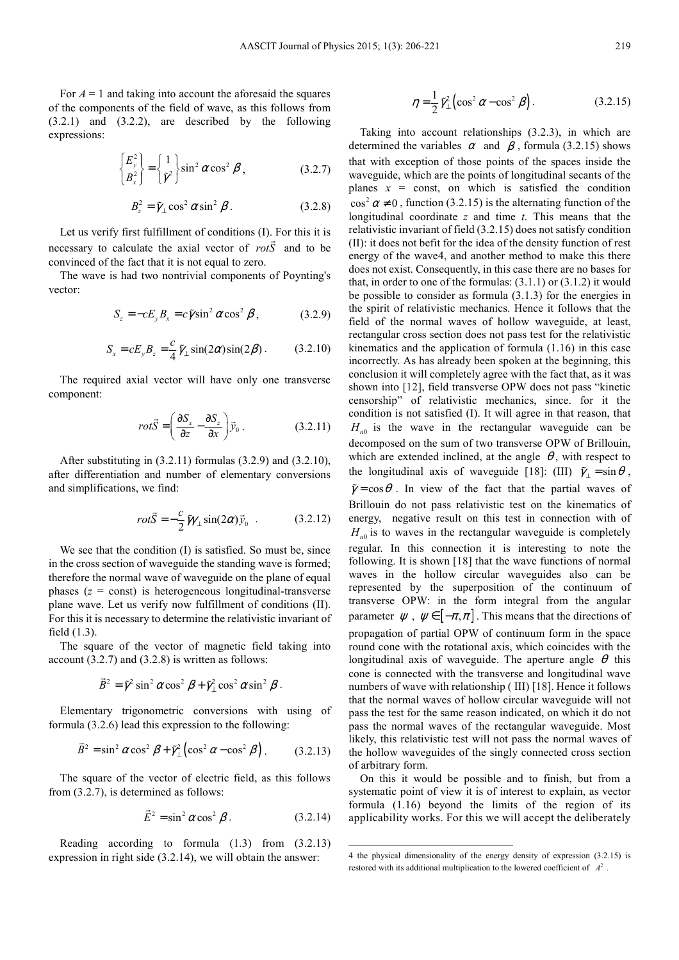For  $A = 1$  and taking into account the aforesaid the squares of the components of the field of wave, as this follows from (3.2.1) and (3.2.2), are described by the following expressions:

$$
\begin{Bmatrix} E_y^2 \\ B_x^2 \end{Bmatrix} = \begin{Bmatrix} 1 \\ \tilde{\gamma}^2 \end{Bmatrix} \sin^2 \alpha \cos^2 \beta , \qquad (3.2.7)
$$

$$
B_z^2 = \tilde{\gamma}_\perp \cos^2 \alpha \sin^2 \beta \,. \tag{3.2.8}
$$

Let us verify first fulfillment of conditions  $(I)$ . For this it is necessary to calculate the axial vector of *rotS* and to be convinced of the fact that it is not equal to zero.

The wave is had two nontrivial components of Poynting's vector:

$$
S_z = -cE_y B_x = c\tilde{\gamma}\sin^2\alpha\cos^2\beta\,,\tag{3.2.9}
$$

$$
S_x = cE_y B_z = \frac{c}{4} \tilde{\gamma}_\perp \sin(2\alpha) \sin(2\beta) \,. \tag{3.2.10}
$$

The required axial vector will have only one transverse component:

$$
rot\vec{S} = \left(\frac{\partial S_x}{\partial z} - \frac{\partial S_z}{\partial x}\right)\vec{y}_0.
$$
 (3.2.11)

After substituting in (3.2.11) formulas (3.2.9) and (3.2.10), after differentiation and number of elementary conversions and simplifications, we find:

$$
rot\vec{S} = -\frac{c}{2}\tilde{\gamma}\gamma_{\perp}\sin(2\alpha)\vec{y}_0 . \qquad (3.2.12)
$$

We see that the condition (I) is satisfied. So must be, since in the cross section of waveguide the standing wave is formed; therefore the normal wave of waveguide on the plane of equal phases  $(z = const)$  is heterogeneous longitudinal-transverse plane wave. Let us verify now fulfillment of conditions (II). For this it is necessary to determine the relativistic invariant of field (1.3).

The square of the vector of magnetic field taking into account  $(3.2.7)$  and  $(3.2.8)$  is written as follows:

$$
\vec{B}^2 = \tilde{\gamma}^2 \sin^2 \alpha \cos^2 \beta + \tilde{\gamma}_\perp^2 \cos^2 \alpha \sin^2 \beta.
$$

Elementary trigonometric conversions with using of formula (3.2.6) lead this expression to the following:

$$
\vec{B}^2 = \sin^2 \alpha \cos^2 \beta + \tilde{\gamma}_{\perp}^2 \left( \cos^2 \alpha - \cos^2 \beta \right). \tag{3.2.13}
$$

The square of the vector of electric field, as this follows from (3.2.7), is determined as follows:

$$
\vec{E}^2 = \sin^2 \alpha \cos^2 \beta. \tag{3.2.14}
$$

 $\overline{a}$ 

Reading according to formula (1.3) from (3.2.13) expression in right side (3.2.14), we will obtain the answer:

$$
\eta = \frac{1}{2} \tilde{\gamma}_{\perp}^2 \left( \cos^2 \alpha - \cos^2 \beta \right). \tag{3.2.15}
$$

Taking into account relationships (3.2.3), in which are determined the variables  $\alpha$  and  $\beta$ , formula (3.2.15) shows that with exception of those points of the spaces inside the waveguide, which are the points of longitudinal secants of the planes  $x = \text{const}$ , on which is satisfied the condition  $\cos^2 \alpha \neq 0$ , function (3.2.15) is the alternating function of the longitudinal coordinate *z* and time *t*. This means that the relativistic invariant of field (3.2.15) does not satisfy condition (II): it does not befit for the idea of the density function of rest energy of the wave4, and another method to make this there does not exist. Consequently, in this case there are no bases for that, in order to one of the formulas:  $(3.1.1)$  or  $(3.1.2)$  it would be possible to consider as formula (3.1.3) for the energies in the spirit of relativistic mechanics. Hence it follows that the field of the normal waves of hollow waveguide, at least, rectangular cross section does not pass test for the relativistic kinematics and the application of formula (1.16) in this case incorrectly. As has already been spoken at the beginning, this conclusion it will completely agree with the fact that, as it was shown into [12], field transverse OPW does not pass "kinetic censorship" of relativistic mechanics, since. for it the condition is not satisfied (I). It will agree in that reason, that  $H_{n0}$  is the wave in the rectangular waveguide can be decomposed on the sum of two transverse OPW of Brillouin, which are extended inclined, at the angle  $\theta$ , with respect to the longitudinal axis of waveguide [18]: (III)  $\tilde{\gamma}_{\perp} = \sin \theta$ ,  $\tilde{\gamma} = \cos \theta$ . In view of the fact that the partial waves of Brillouin do not pass relativistic test on the kinematics of energy, negative result on this test in connection with of  $H_{n0}$  is to waves in the rectangular waveguide is completely regular. In this connection it is interesting to note the following. It is shown [18] that the wave functions of normal waves in the hollow circular waveguides also can be represented by the superposition of the continuum of transverse OPW: in the form integral from the angular parameter  $\psi$ ,  $\psi \in [-\pi, \pi]$ . This means that the directions of propagation of partial OPW of continuum form in the space round cone with the rotational axis, which coincides with the longitudinal axis of waveguide. The aperture angle  $\theta$  this cone is connected with the transverse and longitudinal wave numbers of wave with relationship ( III) [18]. Hence it follows that the normal waves of hollow circular waveguide will not pass the test for the same reason indicated, on which it do not pass the normal waves of the rectangular waveguide. Most likely, this relativistic test will not pass the normal waves of the hollow waveguides of the singly connected cross section of arbitrary form.

On this it would be possible and to finish, but from a systematic point of view it is of interest to explain, as vector formula (1.16) beyond the limits of the region of its applicability works. For this we will accept the deliberately

<sup>4</sup> the physical dimensionality of the energy density of expression (3.2.15) is restored with its additional multiplication to the lowered coefficient of  $A^2$ .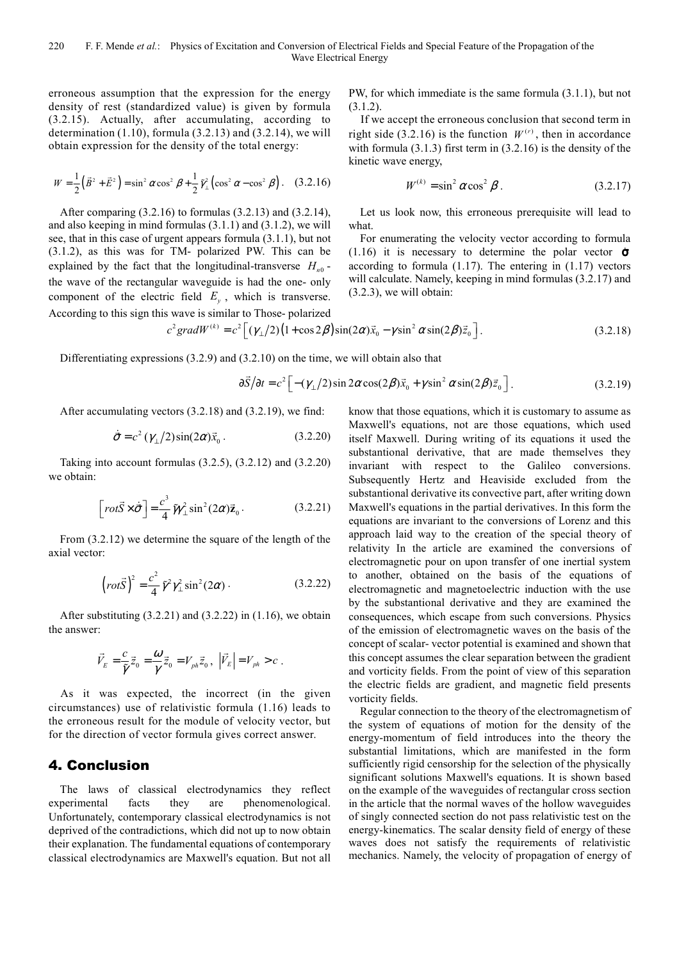erroneous assumption that the expression for the energy density of rest (standardized value) is given by formula (3.2.15). Actually, after accumulating, according to determination  $(1.10)$ , formula  $(3.2.13)$  and  $(3.2.14)$ , we will obtain expression for the density of the total energy:

$$
W = \frac{1}{2} (\vec{B}^2 + \vec{E}^2) = \sin^2 \alpha \cos^2 \beta + \frac{1}{2} \tilde{\gamma}_\perp^2 (\cos^2 \alpha - \cos^2 \beta). \quad (3.2.16)
$$

After comparing (3.2.16) to formulas (3.2.13) and (3.2.14), and also keeping in mind formulas (3.1.1) and (3.1.2), we will see, that in this case of urgent appears formula (3.1.1), but not (3.1.2), as this was for TM- polarized PW. This can be explained by the fact that the longitudinal-transverse  $H_{n0}$ the wave of the rectangular waveguide is had the one- only component of the electric field  $E_y$ , which is transverse. According to this sign this wave is similar to Those- polarized

PW, for which immediate is the same formula (3.1.1), but not (3.1.2).

If we accept the erroneous conclusion that second term in right side (3.2.16) is the function  $W^{(r)}$ , then in accordance with formula (3.1.3) first term in (3.2.16) is the density of the kinetic wave energy,

$$
W^{(k)} = \sin^2 \alpha \cos^2 \beta \tag{3.2.17}
$$

Let us look now, this erroneous prerequisite will lead to what.

For enumerating the velocity vector according to formula (1.16) it is necessary to determine the polar vector  $\dot{\sigma}$ according to formula  $(1.17)$ . The entering in  $(1.17)$  vectors will calculate. Namely, keeping in mind formulas (3.2.17) and (3.2.3), we will obtain:

$$
c^{2}gradW^{(k)} = c^{2} \left[ (\gamma_{\perp}/2)(1+\cos 2\beta)\sin(2\alpha)\vec{x}_{0} - \gamma\sin^{2}\alpha\sin(2\beta)\vec{z}_{0} \right].
$$
 (3.2.18)

Differentiating expressions  $(3.2.9)$  and  $(3.2.10)$  on the time, we will obtain also that

$$
\frac{\partial \vec{S}}{\partial t} = c^2 \left[ -(\gamma_\perp/2) \sin 2\alpha \cos(2\beta) \vec{x}_0 + \gamma \sin^2 \alpha \sin(2\beta) \vec{z}_0 \right]. \tag{3.2.19}
$$

After accumulating vectors (3.2.18) and (3.2.19), we find:

$$
\dot{\vec{\sigma}} = c^2 \left( \gamma_{\perp} / 2 \right) \sin(2\alpha) \vec{x}_0 \,. \tag{3.2.20}
$$

Taking into account formulas (3.2.5), (3.2.12) and (3.2.20) we obtain:

$$
\left[rot\vec{S}\times\dot{\vec{\sigma}}\right] = \frac{c^3}{4}\tilde{\gamma}\gamma_{\perp}^2\sin^2(2\alpha)\vec{z}_0.
$$
 (3.2.21)

From (3.2.12) we determine the square of the length of the axial vector:

$$
\left( rot\vec{S}\right)^{2} = \frac{c^{2}}{4}\tilde{\gamma}^{2}\gamma_{\perp}^{2}\sin^{2}(2\alpha). \qquad (3.2.22)
$$

After substituting  $(3.2.21)$  and  $(3.2.22)$  in  $(1.16)$ , we obtain the answer:

$$
\vec{V}_E = \frac{c}{\widetilde{\gamma}}\,\vec{\bar{z}}_0 = \frac{\omega}{\gamma}\,\vec{\bar{z}}_0 = V_{ph}\vec{\bar{z}}_0\,,\ \, \left|\vec{V}_E\right| = V_{ph} > c\,\,.
$$

As it was expected, the incorrect (in the given circumstances) use of relativistic formula (1.16) leads to the erroneous result for the module of velocity vector, but for the direction of vector formula gives correct answer.

#### 4. Conclusion

The laws of classical electrodynamics they reflect experimental facts they are phenomenological. Unfortunately, contemporary classical electrodynamics is not deprived of the contradictions, which did not up to now obtain their explanation. The fundamental equations of contemporary classical electrodynamics are Maxwell's equation. But not all

know that those equations, which it is customary to assume as Maxwell's equations, not are those equations, which used itself Maxwell. During writing of its equations it used the substantional derivative, that are made themselves they invariant with respect to the Galileo conversions. Subsequently Hertz and Heaviside excluded from the substantional derivative its convective part, after writing down Maxwell's equations in the partial derivatives. In this form the equations are invariant to the conversions of Lorenz and this approach laid way to the creation of the special theory of relativity In the article are examined the conversions of electromagnetic pour on upon transfer of one inertial system to another, obtained on the basis of the equations of electromagnetic and magnetoelectric induction with the use by the substantional derivative and they are examined the consequences, which escape from such conversions. Physics of the emission of electromagnetic waves on the basis of the concept of scalar- vector potential is examined and shown that this concept assumes the clear separation between the gradient and vorticity fields. From the point of view of this separation the electric fields are gradient, and magnetic field presents vorticity fields.

Regular connection to the theory of the electromagnetism of the system of equations of motion for the density of the energy-momentum of field introduces into the theory the substantial limitations, which are manifested in the form sufficiently rigid censorship for the selection of the physically significant solutions Maxwell's equations. It is shown based on the example of the waveguides of rectangular cross section in the article that the normal waves of the hollow waveguides of singly connected section do not pass relativistic test on the energy-kinematics. The scalar density field of energy of these waves does not satisfy the requirements of relativistic mechanics. Namely, the velocity of propagation of energy of